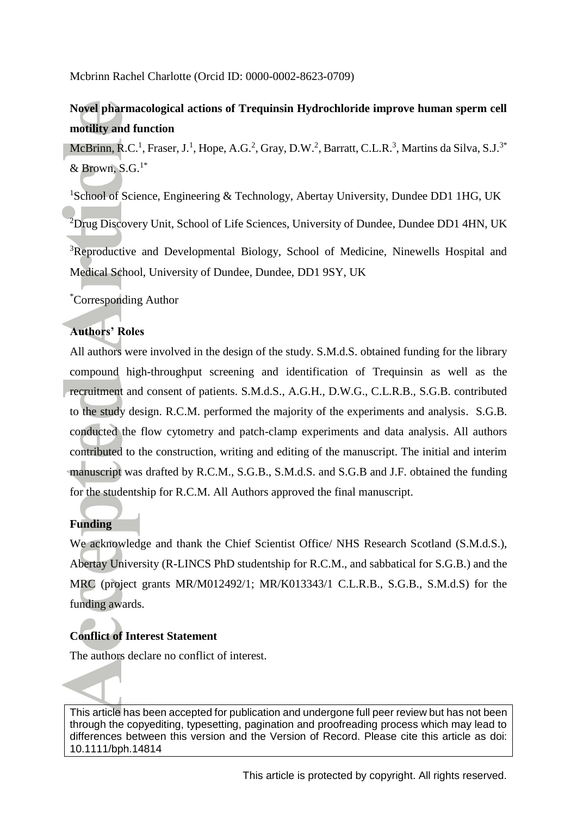Mcbrinn Rachel Charlotte (Orcid ID: 0000-0002-8623-0709)

# **Novel pharmacological actions of Trequinsin Hydrochloride improve human sperm cell motility and function**

McBrinn, R.C.<sup>1</sup>, Fraser, J.<sup>1</sup>, Hope, A.G.<sup>2</sup>, Gray, D.W.<sup>2</sup>, Barratt, C.L.R.<sup>3</sup>, Martins da Silva, S.J.<sup>3\*</sup> & Brown,  $S.G.<sup>1*</sup>$ 

<sup>1</sup>School of Science, Engineering & Technology, Abertay University, Dundee DD1 1HG, UK

 ${}^{2}$ Drug Discovery Unit, School of Life Sciences, University of Dundee, Dundee DD1 4HN, UK

<sup>3</sup>Reproductive and Developmental Biology, School of Medicine, Ninewells Hospital and Medical School, University of Dundee, Dundee, DD1 9SY, UK

\*Corresponding Author

# **Authors' Roles**

All authors were involved in the design of the study. S.M.d.S. obtained funding for the library compound high-throughput screening and identification of Trequinsin as well as the recruitment and consent of patients. S.M.d.S., A.G.H., D.W.G., C.L.R.B., S.G.B. contributed to the study design. R.C.M. performed the majority of the experiments and analysis. S.G.B. conducted the flow cytometry and patch-clamp experiments and data analysis. All authors contributed to the construction, writing and editing of the manuscript. The initial and interim manuscript was drafted by R.C.M., S.G.B., S.M.d.S. and S.G.B and J.F. obtained the funding for the studentship for R.C.M. All Authors approved the final manuscript.

# **Funding**

We acknowledge and thank the Chief Scientist Office/ NHS Research Scotland (S.M.d.S.), Abertay University (R-LINCS PhD studentship for R.C.M., and sabbatical for S.G.B.) and the MRC (project grants MR/M012492/1; MR/K013343/1 C.L.R.B., S.G.B., S.M.d.S) for the funding awards.

# **Conflict of Interest Statement**

The authors declare no conflict of interest.

This article has been accepted for publication and undergone full peer review but has not been through the copyediting, typesetting, pagination and proofreading process which may lead to differences between this version and the Version of Record. Please cite this article as doi: 10.1111/bph.14814

This article is protected by copyright. All rights reserved.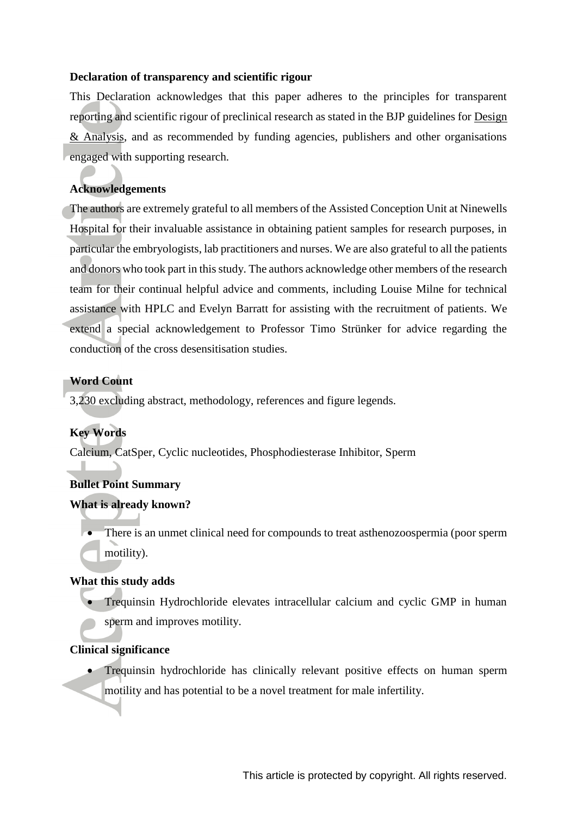### **Declaration of transparency and scientific rigour**

This Declaration acknowledges that this paper adheres to the principles for transparent reporting and scientific rigour of preclinical research as stated in the BJP guidelines for [Design](https://bpspubs.onlinelibrary.wiley.com/doi/full/10.1111/bph.14207)  [& Analysis,](https://bpspubs.onlinelibrary.wiley.com/doi/full/10.1111/bph.14207) and as recommended by funding agencies, publishers and other organisations engaged with supporting research.

# **Acknowledgements**

The authors are extremely grateful to all members of the Assisted Conception Unit at Ninewells Hospital for their invaluable assistance in obtaining patient samples for research purposes, in particular the embryologists, lab practitioners and nurses. We are also grateful to all the patients and donors who took part in this study. The authors acknowledge other members of the research team for their continual helpful advice and comments, including Louise Milne for technical assistance with HPLC and Evelyn Barratt for assisting with the recruitment of patients. We extend a special acknowledgement to Professor Timo Strünker for advice regarding the conduction of the cross desensitisation studies.

### **Word Count**

3,230 excluding abstract, methodology, references and figure legends.

# **Key Words**

Calcium, CatSper, Cyclic nucleotides, Phosphodiesterase Inhibitor, Sperm

### **Bullet Point Summary**

### **What is already known?**

 There is an unmet clinical need for compounds to treat asthenozoospermia (poor sperm motility).

### **What this study adds**

 Trequinsin Hydrochloride elevates intracellular calcium and cyclic GMP in human sperm and improves motility.

### **Clinical significance**

 Trequinsin hydrochloride has clinically relevant positive effects on human sperm motility and has potential to be a novel treatment for male infertility.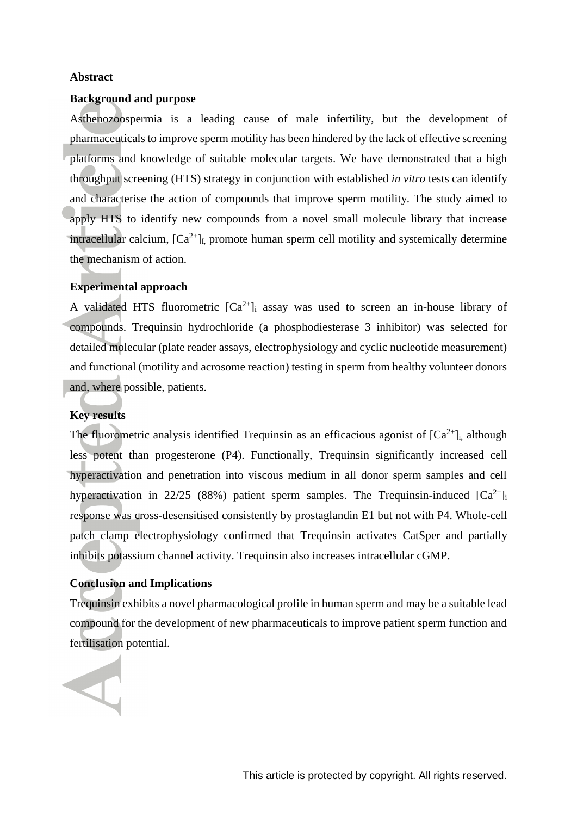### **Abstract**

### **Background and purpose**

Asthenozoospermia is a leading cause of male infertility, but the development of pharmaceuticals to improve sperm motility has been hindered by the lack of effective screening platforms and knowledge of suitable molecular targets. We have demonstrated that a high throughput screening (HTS) strategy in conjunction with established *in vitro* tests can identify and characterise the action of compounds that improve sperm motility. The study aimed to apply HTS to identify new compounds from a novel small molecule library that increase intracellular calcium,  $[Ca^{2+}]$ <sub>I,</sub> promote human sperm cell motility and systemically determine the mechanism of action.

### **Experimental approach**

A validated HTS fluorometric  $[Ca^{2+}]\text{i}$  assay was used to screen an in-house library of compounds. Trequinsin hydrochloride (a phosphodiesterase 3 inhibitor) was selected for detailed molecular (plate reader assays, electrophysiology and cyclic nucleotide measurement) and functional (motility and acrosome reaction) testing in sperm from healthy volunteer donors and, where possible, patients.

### **Key results**

The fluorometric analysis identified Trequinsin as an efficacious agonist of  $[Ca^{2+}]$ <sub>i</sub>, although less potent than progesterone (P4). Functionally, Trequinsin significantly increased cell hyperactivation and penetration into viscous medium in all donor sperm samples and cell hyperactivation in 22/25 (88%) patient sperm samples. The Trequinsin-induced  $[Ca^{2+}]_i$ response was cross-desensitised consistently by prostaglandin E1 but not with P4. Whole-cell patch clamp electrophysiology confirmed that Trequinsin activates CatSper and partially inhibits potassium channel activity. Trequinsin also increases intracellular cGMP.

### **Conclusion and Implications**

Trequinsin exhibits a novel pharmacological profile in human sperm and may be a suitable lead compound for the development of new pharmaceuticals to improve patient sperm function and fertilisation potential.

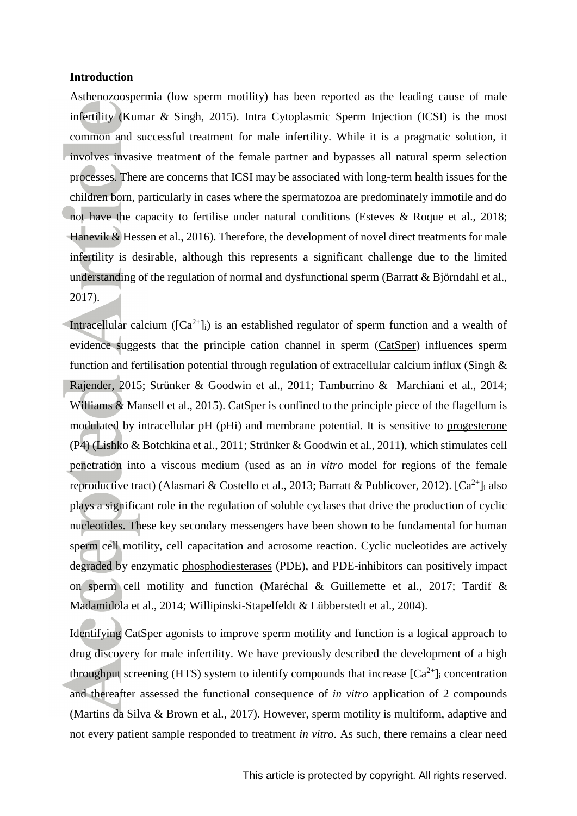### **Introduction**

Asthenozoospermia (low sperm motility) has been reported as the leading cause of male infertility (Kumar & Singh, 2015). Intra Cytoplasmic Sperm Injection (ICSI) is the most common and successful treatment for male infertility. While it is a pragmatic solution, it involves invasive treatment of the female partner and bypasses all natural sperm selection processes. There are concerns that ICSI may be associated with long-term health issues for the children born, particularly in cases where the spermatozoa are predominately immotile and do not have the capacity to fertilise under natural conditions (Esteves & Roque et al., 2018; Hanevik & Hessen et al., 2016). Therefore, the development of novel direct treatments for male infertility is desirable, although this represents a significant challenge due to the limited understanding of the regulation of normal and dysfunctional sperm (Barratt & Björndahl et al., 2017).

Intracellular calcium ( $[Ca^{2+}]$ i) is an established regulator of sperm function and a wealth of evidence suggests that the principle cation channel in sperm [\(CatSper\)](http://www.guidetopharmacology.org/GRAC/FamilyDisplayForward?familyId=70) influences sperm function and fertilisation potential through regulation of extracellular calcium influx (Singh & Rajender, 2015; Strünker & Goodwin et al., 2011; Tamburrino & Marchiani et al., 2014; Williams & Mansell et al., 2015). CatSper is confined to the principle piece of the flagellum is modulated by intracellular pH (pHi) and membrane potential. It is sensitive to [progesterone](http://www.guidetopharmacology.org/GRAC/LigandDisplayForward?ligandId=2377) (P4) (Lishko & Botchkina et al., 2011; Strünker & Goodwin et al., 2011), which stimulates cell penetration into a viscous medium (used as an *in vitro* model for regions of the female reproductive tract) (Alasmari & Costello et al., 2013; Barratt & Publicover, 2012). [Ca<sup>2+</sup>]<sub>i</sub> also plays a significant role in the regulation of soluble cyclases that drive the production of cyclic nucleotides. These key secondary messengers have been shown to be fundamental for human sperm cell motility, cell capacitation and acrosome reaction. Cyclic nucleotides are actively degraded by enzymatic [phosphodiesterases](http://www.guidetopharmacology.org/GRAC/FamilyDisplayForward?familyId=260) (PDE), and PDE-inhibitors can positively impact on sperm cell motility and function (Maréchal & Guillemette et al., 2017; Tardif & Madamidola et al., 2014; Willipinski-Stapelfeldt & Lübberstedt et al., 2004).

Identifying CatSper agonists to improve sperm motility and function is a logical approach to drug discovery for male infertility. We have previously described the development of a high throughput screening (HTS) system to identify compounds that increase  $[Ca^{2+}]_i$  concentration and thereafter assessed the functional consequence of *in vitro* application of 2 compounds (Martins da Silva & Brown et al., 2017). However, sperm motility is multiform, adaptive and not every patient sample responded to treatment *in vitro*. As such, there remains a clear need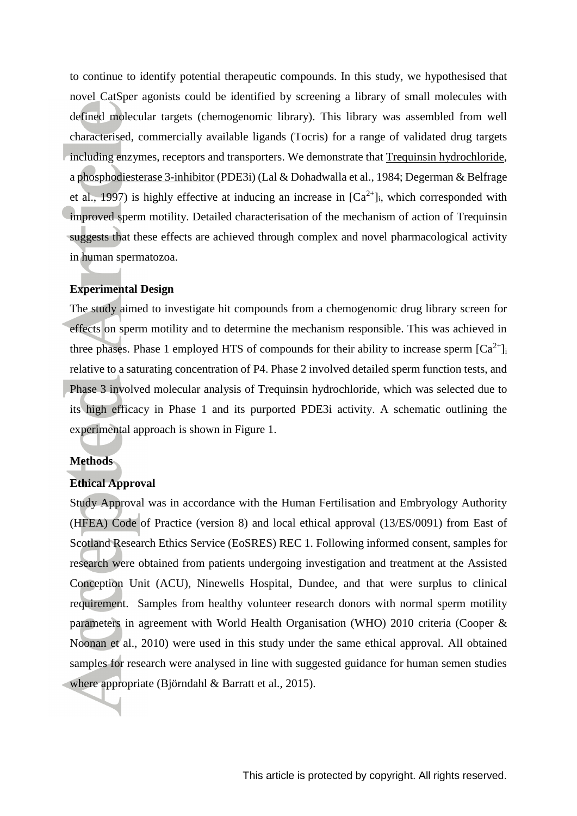to continue to identify potential therapeutic compounds. In this study, we hypothesised that novel CatSper agonists could be identified by screening a library of small molecules with defined molecular targets (chemogenomic library). This library was assembled from well characterised, commercially available ligands (Tocris) for a range of validated drug targets including enzymes, receptors and transporters. We demonstrate that [Trequinsin hydrochloride,](https://www.guidetopharmacology.org/GRAC/LigandDisplayForward?ligandId=10436) [a phosphodiesterase 3-inhibitor](http://www.guidetopharmacology.org/GRAC/ObjectDisplayForward?objectId=1298) (PDE3i) (Lal & Dohadwalla et al., 1984; Degerman & Belfrage et al., 1997) is highly effective at inducing an increase in  $[Ca^{2+}]_i$ , which corresponded with improved sperm motility. Detailed characterisation of the mechanism of action of Trequinsin suggests that these effects are achieved through complex and novel pharmacological activity in human spermatozoa.

### **Experimental Design**

The study aimed to investigate hit compounds from a chemogenomic drug library screen for effects on sperm motility and to determine the mechanism responsible. This was achieved in three phases. Phase 1 employed HTS of compounds for their ability to increase sperm  $[Ca^{2+}]_i$ relative to a saturating concentration of P4. Phase 2 involved detailed sperm function tests, and Phase 3 involved molecular analysis of Trequinsin hydrochloride, which was selected due to its high efficacy in Phase 1 and its purported PDE3i activity. A schematic outlining the experimental approach is shown in Figure 1.

### **Methods**

### **Ethical Approval**

Study Approval was in accordance with the Human Fertilisation and Embryology Authority (HFEA) Code of Practice (version 8) and local ethical approval (13/ES/0091) from East of Scotland Research Ethics Service (EoSRES) REC 1. Following informed consent, samples for research were obtained from patients undergoing investigation and treatment at the Assisted Conception Unit (ACU), Ninewells Hospital, Dundee, and that were surplus to clinical requirement. Samples from healthy volunteer research donors with normal sperm motility parameters in agreement with World Health Organisation (WHO) 2010 criteria (Cooper & Noonan et al., 2010) were used in this study under the same ethical approval. All obtained samples for research were analysed in line with suggested guidance for human semen studies where appropriate (Björndahl & Barratt et al., 2015).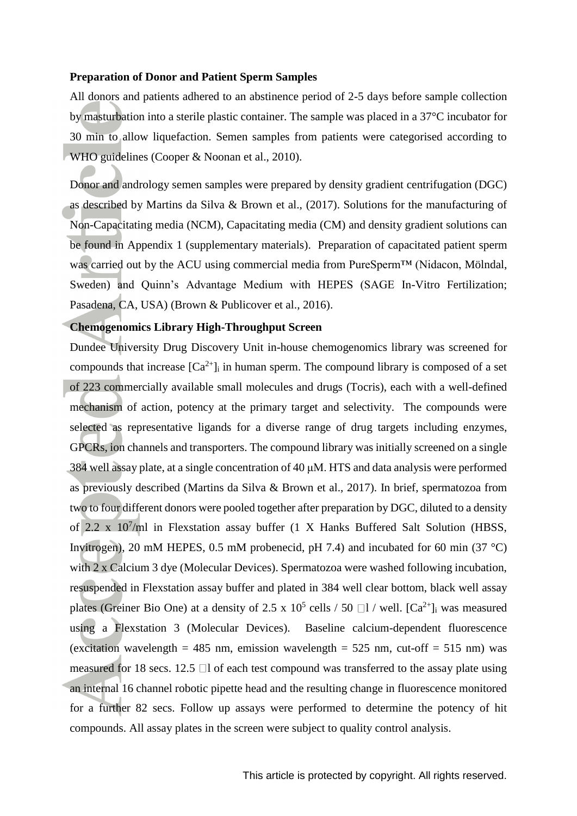### **Preparation of Donor and Patient Sperm Samples**

All donors and patients adhered to an abstinence period of 2-5 days before sample collection by masturbation into a sterile plastic container. The sample was placed in a 37°C incubator for 30 min to allow liquefaction. Semen samples from patients were categorised according to WHO guidelines (Cooper & Noonan et al., 2010).

Donor and andrology semen samples were prepared by density gradient centrifugation (DGC) as described by Martins da Silva & Brown et al., (2017). Solutions for the manufacturing of Non-Capacitating media (NCM), Capacitating media (CM) and density gradient solutions can be found in Appendix 1 (supplementary materials). Preparation of capacitated patient sperm was carried out by the ACU using commercial media from PureSperm™ (Nidacon, Mölndal, Sweden) and Quinn's Advantage Medium with HEPES (SAGE In-Vitro Fertilization; Pasadena, CA, USA) (Brown & Publicover et al., 2016).

### **Chemogenomics Library High-Throughput Screen**

Dundee University Drug Discovery Unit in-house chemogenomics library was screened for compounds that increase  $[Ca^{2+}]$  in human sperm. The compound library is composed of a set of 223 commercially available small molecules and drugs (Tocris), each with a well-defined mechanism of action, potency at the primary target and selectivity. The compounds were selected as representative ligands for a diverse range of drug targets including enzymes, GPCRs, ion channels and transporters. The compound library was initially screened on a single 384 well assay plate, at a single concentration of 40 μM. HTS and data analysis were performed as previously described (Martins da Silva & Brown et al., 2017). In brief, spermatozoa from two to four different donors were pooled together after preparation by DGC, diluted to a density of 2.2 x 10<sup>7</sup> /ml in Flexstation assay buffer (1 X Hanks Buffered Salt Solution (HBSS, Invitrogen), 20 mM HEPES, 0.5 mM probenecid, pH 7.4) and incubated for 60 min (37  $^{\circ}$ C) with 2 x Calcium 3 dye (Molecular Devices). Spermatozoa were washed following incubation, resuspended in Flexstation assay buffer and plated in 384 well clear bottom, black well assay plates (Greiner Bio One) at a density of 2.5 x  $10^5$  cells / 50  $\Box$ 1 / well. [Ca<sup>2+</sup>]<sub>i</sub> was measured using a Flexstation 3 (Molecular Devices). Baseline calcium-dependent fluorescence (excitation wavelength = 485 nm, emission wavelength =  $525$  nm, cut-off =  $515$  nm) was measured for 18 secs. 12.5  $\Box$  of each test compound was transferred to the assay plate using an internal 16 channel robotic pipette head and the resulting change in fluorescence monitored for a further 82 secs. Follow up assays were performed to determine the potency of hit compounds. All assay plates in the screen were subject to quality control analysis.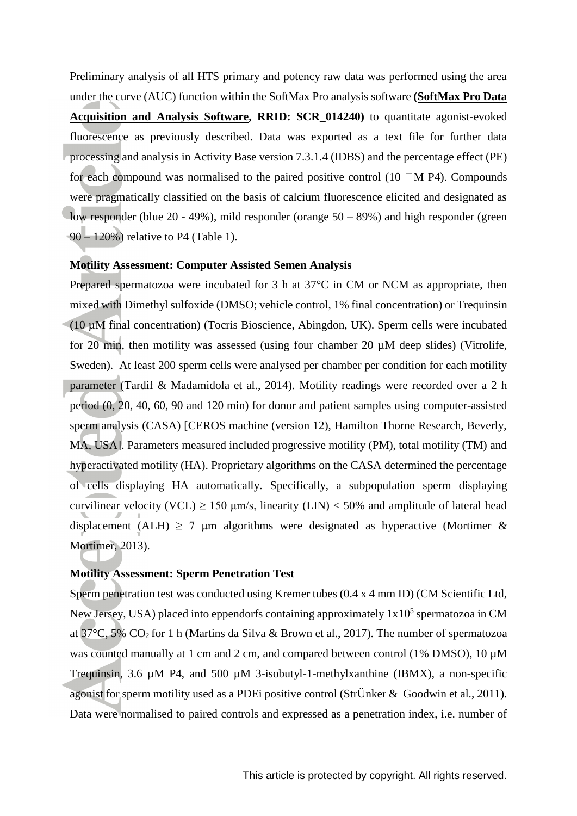Preliminary analysis of all HTS primary and potency raw data was performed using the area under the curve (AUC) function within the SoftMax Pro analysis software **[\(SoftMax Pro Data](http://www.moleculardevices.com/systems/microplate-readers/softmax-pro-data-acquisition-and-analysis-software)  [Acquisition and Analysis Software,](http://www.moleculardevices.com/systems/microplate-readers/softmax-pro-data-acquisition-and-analysis-software) RRID: SCR\_014240)** to quantitate agonist-evoked fluorescence as previously described. Data was exported as a text file for further data processing and analysis in Activity Base version 7.3.1.4 (IDBS) and the percentage effect (PE) for each compound was normalised to the paired positive control (10  $\Box$ M P4). Compounds were pragmatically classified on the basis of calcium fluorescence elicited and designated as low responder (blue 20 - 49%), mild responder (orange 50 – 89%) and high responder (green 90 – 120%) relative to P4 (Table 1).

### **Motility Assessment: Computer Assisted Semen Analysis**

Prepared spermatozoa were incubated for 3 h at 37°C in CM or NCM as appropriate, then mixed with Dimethyl sulfoxide (DMSO; vehicle control, 1% final concentration) or Trequinsin (10 µM final concentration) (Tocris Bioscience, Abingdon, UK). Sperm cells were incubated for 20 min, then motility was assessed (using four chamber 20 µM deep slides) (Vitrolife, Sweden). At least 200 sperm cells were analysed per chamber per condition for each motility parameter (Tardif & Madamidola et al., 2014). Motility readings were recorded over a 2 h period (0, 20, 40, 60, 90 and 120 min) for donor and patient samples using computer-assisted sperm analysis (CASA) [CEROS machine (version 12), Hamilton Thorne Research, Beverly, MA, USA]. Parameters measured included progressive motility (PM), total motility (TM) and hyperactivated motility (HA). Proprietary algorithms on the CASA determined the percentage of cells displaying HA automatically. Specifically, a subpopulation sperm displaying curvilinear velocity (VCL) > 150  $\mu$ m/s, linearity (LIN) < 50% and amplitude of lateral head displacement (ALH)  $\geq$  7 µm algorithms were designated as hyperactive (Mortimer & Mortimer, 2013).

### **Motility Assessment: Sperm Penetration Test**

Sperm penetration test was conducted using Kremer tubes (0.4 x 4 mm ID) (CM Scientific Ltd, New Jersey, USA) placed into eppendorfs containing approximately  $1x10<sup>5</sup>$  spermatozoa in CM at 37°C, 5% CO2 for 1 h (Martins da Silva & Brown et al., 2017). The number of spermatozoa was counted manually at 1 cm and 2 cm, and compared between control (1% DMSO), 10  $\mu$ M Trequinsin, 3.6 µM P4, and 500 µM [3-isobutyl-1-methylxanthine](http://www.guidetopharmacology.org/GRAC/LigandDisplayForward?ligandId=388) (IBMX), a non-specific agonist for sperm motility used as a PDEi positive control (StrÜnker & Goodwin et al., 2011). Data were normalised to paired controls and expressed as a penetration index, i.e. number of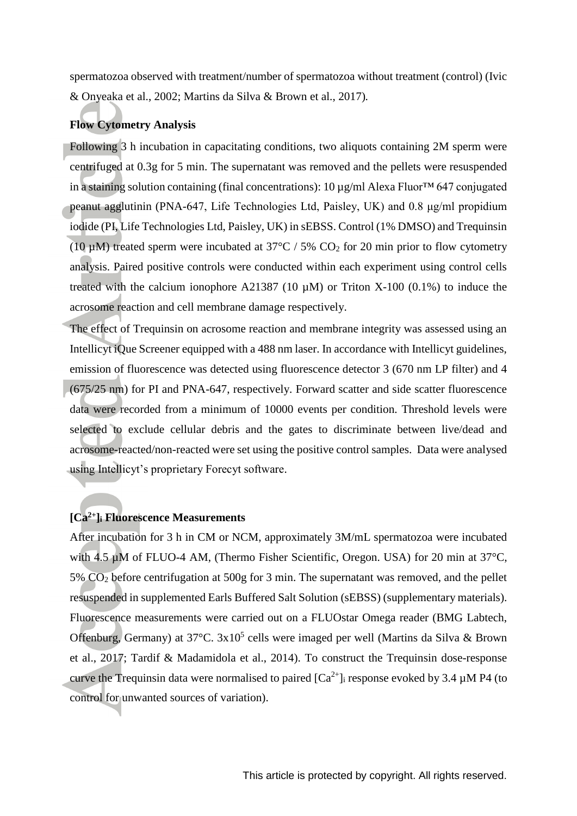spermatozoa observed with treatment/number of spermatozoa without treatment (control) (Ivic & Onyeaka et al., 2002; Martins da Silva & Brown et al., 2017)*.*

### **Flow Cytometry Analysis**

Following 3 h incubation in capacitating conditions, two aliquots containing 2M sperm were centrifuged at 0.3g for 5 min. The supernatant was removed and the pellets were resuspended in a staining solution containing (final concentrations): 10 µg/ml Alexa Fluor™ 647 conjugated peanut agglutinin (PNA-647, Life Technologies Ltd, Paisley, UK) and 0.8 μg/ml propidium iodide (PI, Life Technologies Ltd, Paisley, UK) in sEBSS. Control (1% DMSO) and Trequinsin (10  $\mu$ M) treated sperm were incubated at 37°C / 5% CO<sub>2</sub> for 20 min prior to flow cytometry analysis. Paired positive controls were conducted within each experiment using control cells treated with the calcium ionophore A21387 (10  $\mu$ M) or Triton X-100 (0.1%) to induce the acrosome reaction and cell membrane damage respectively.

The effect of Trequinsin on acrosome reaction and membrane integrity was assessed using an Intellicyt iQue Screener equipped with a 488 nm laser. In accordance with Intellicyt guidelines, emission of fluorescence was detected using fluorescence detector 3 (670 nm LP filter) and 4 (675/25 nm) for PI and PNA-647, respectively. Forward scatter and side scatter fluorescence data were recorded from a minimum of 10000 events per condition. Threshold levels were selected to exclude cellular debris and the gates to discriminate between live/dead and acrosome-reacted/non-reacted were set using the positive control samples. Data were analysed using Intellicyt's proprietary Forecyt software.

### **[Ca2+]<sup>i</sup> Fluorescence Measurements**

After incubation for 3 h in CM or NCM, approximately 3M/mL spermatozoa were incubated with 4.5 uM of FLUO-4 AM, (Thermo Fisher Scientific, Oregon. USA) for 20 min at 37<sup>o</sup>C, 5% CO<sup>2</sup> before centrifugation at 500g for 3 min. The supernatant was removed, and the pellet resuspended in supplemented Earls Buffered Salt Solution (sEBSS) (supplementary materials). Fluorescence measurements were carried out on a FLUOstar Omega reader (BMG Labtech, Offenburg, Germany) at  $37^{\circ}$ C.  $3x10^5$  cells were imaged per well (Martins da Silva & Brown et al., 2017; Tardif & Madamidola et al., 2014). To construct the Trequinsin dose-response curve the Trequinsin data were normalised to paired  $[Ca^{2+}]$  response evoked by 3.4  $\mu$ M P4 (to control for unwanted sources of variation).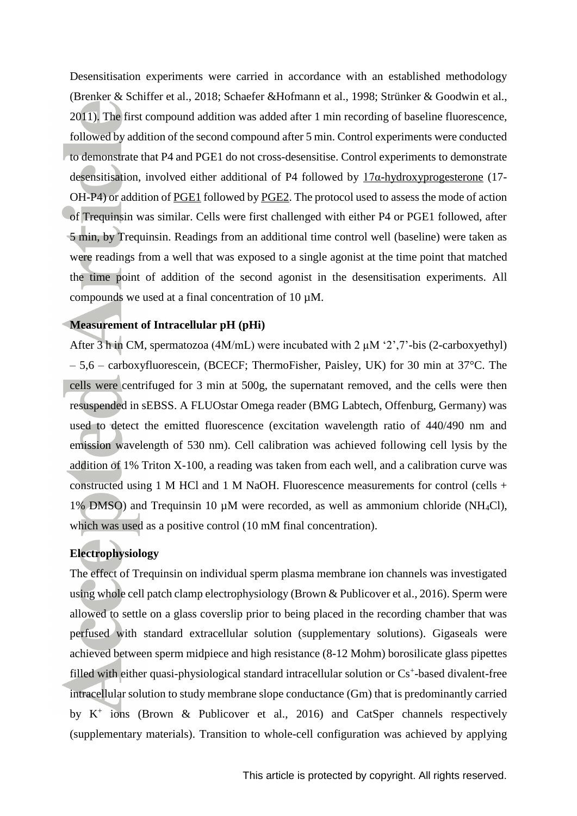Desensitisation experiments were carried in accordance with an established methodology (Brenker & Schiffer et al., 2018; Schaefer &Hofmann et al., 1998; Strünker & Goodwin et al., 2011). The first compound addition was added after 1 min recording of baseline fluorescence, followed by addition of the second compound after 5 min. Control experiments were conducted to demonstrate that P4 and PGE1 do not cross-desensitise. Control experiments to demonstrate desensitisation, involved either additional of P4 followed by [17α-hydroxyprogesterone](http://www.guidetopharmacology.org/GRAC/LigandDisplayForward?ligandId=5104) (17- OH-P4) or addition of [PGE1](http://www.guidetopharmacology.org/GRAC/LigandDisplayForward?ligandId=1882) followed by [PGE2.](http://www.guidetopharmacology.org/GRAC/LigandDisplayForward?ligandId=1883) The protocol used to assess the mode of action of Trequinsin was similar. Cells were first challenged with either P4 or PGE1 followed, after 5 min, by Trequinsin. Readings from an additional time control well (baseline) were taken as were readings from a well that was exposed to a single agonist at the time point that matched the time point of addition of the second agonist in the desensitisation experiments. All compounds we used at a final concentration of 10 µM.

### **Measurement of Intracellular pH (pHi)**

After 3 h in CM, spermatozoa (4M/mL) were incubated with 2  $\mu$ M '2', 7'-bis (2-carboxyethyl) – 5,6 – carboxyfluorescein, (BCECF; ThermoFisher, Paisley, UK) for 30 min at 37°C. The cells were centrifuged for 3 min at 500g, the supernatant removed, and the cells were then resuspended in sEBSS. A FLUOstar Omega reader (BMG Labtech, Offenburg, Germany) was used to detect the emitted fluorescence (excitation wavelength ratio of 440/490 nm and emission wavelength of 530 nm). Cell calibration was achieved following cell lysis by the addition of 1% Triton X-100, a reading was taken from each well, and a calibration curve was constructed using 1 M HCl and 1 M NaOH. Fluorescence measurements for control (cells + 1% DMSO) and Trequinsin 10  $\mu$ M were recorded, as well as ammonium chloride (NH<sub>4</sub>Cl), which was used as a positive control (10 mM final concentration).

### **Electrophysiology**

The effect of Trequinsin on individual sperm plasma membrane ion channels was investigated using whole cell patch clamp electrophysiology (Brown & Publicover et al., 2016). Sperm were allowed to settle on a glass coverslip prior to being placed in the recording chamber that was perfused with standard extracellular solution (supplementary solutions). Gigaseals were achieved between sperm midpiece and high resistance (8-12 Mohm) borosilicate glass pipettes filled with either quasi-physiological standard intracellular solution or Cs<sup>+</sup>-based divalent-free intracellular solution to study membrane slope conductance (Gm) that is predominantly carried by K + ions (Brown & Publicover et al., 2016) and CatSper channels respectively (supplementary materials). Transition to whole-cell configuration was achieved by applying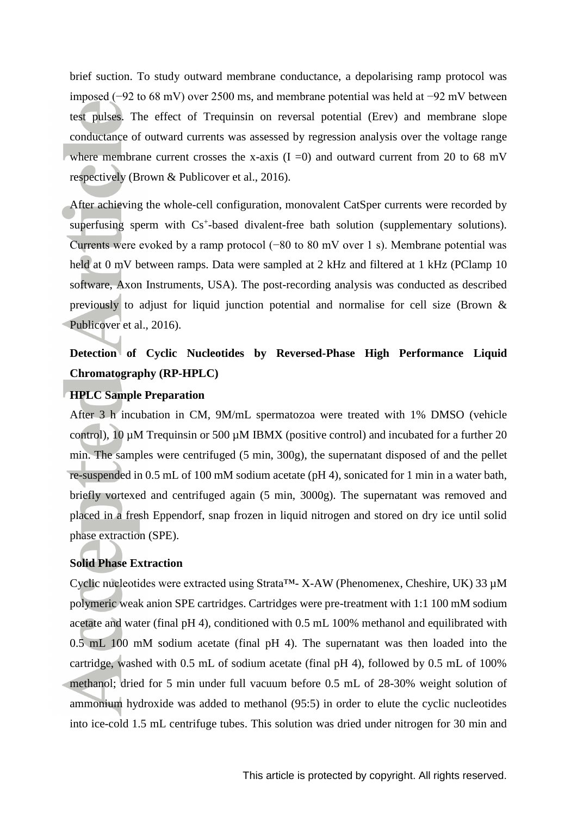brief suction. To study outward membrane conductance, a depolarising ramp protocol was imposed (−92 to 68 mV) over 2500 ms, and membrane potential was held at −92 mV between test pulses. The effect of Trequinsin on reversal potential (Erev) and membrane slope conductance of outward currents was assessed by regression analysis over the voltage range where membrane current crosses the x-axis  $(I = 0)$  and outward current from 20 to 68 mV respectively (Brown & Publicover et al., 2016).

After achieving the whole-cell configuration, monovalent CatSper currents were recorded by superfusing sperm with Cs<sup>+</sup>-based divalent-free bath solution (supplementary solutions). Currents were evoked by a ramp protocol (−80 to 80 mV over 1 s). Membrane potential was held at 0 mV between ramps. Data were sampled at 2 kHz and filtered at 1 kHz (PClamp 10 software, Axon Instruments, USA). The post-recording analysis was conducted as described previously to adjust for liquid junction potential and normalise for cell size (Brown & Publicover et al., 2016).

# **Detection of Cyclic Nucleotides by Reversed-Phase High Performance Liquid Chromatography (RP-HPLC)**

### **HPLC Sample Preparation**

After 3 h incubation in CM, 9M/mL spermatozoa were treated with 1% DMSO (vehicle control), 10 µM Trequinsin or 500 µM IBMX (positive control) and incubated for a further 20 min. The samples were centrifuged (5 min, 300g), the supernatant disposed of and the pellet re-suspended in 0.5 mL of 100 mM sodium acetate (pH 4), sonicated for 1 min in a water bath, briefly vortexed and centrifuged again (5 min, 3000g). The supernatant was removed and placed in a fresh Eppendorf, snap frozen in liquid nitrogen and stored on dry ice until solid phase extraction (SPE).

### **Solid Phase Extraction**

Cyclic nucleotides were extracted using Strata<sup>TM</sup>- X-AW (Phenomenex, Cheshire, UK) 33  $\mu$ M polymeric weak anion SPE cartridges. Cartridges were pre-treatment with 1:1 100 mM sodium acetate and water (final pH 4), conditioned with 0.5 mL 100% methanol and equilibrated with 0.5 mL 100 mM sodium acetate (final pH 4). The supernatant was then loaded into the cartridge, washed with 0.5 mL of sodium acetate (final pH 4), followed by 0.5 mL of 100% methanol; dried for 5 min under full vacuum before 0.5 mL of 28-30% weight solution of ammonium hydroxide was added to methanol (95:5) in order to elute the cyclic nucleotides into ice-cold 1.5 mL centrifuge tubes. This solution was dried under nitrogen for 30 min and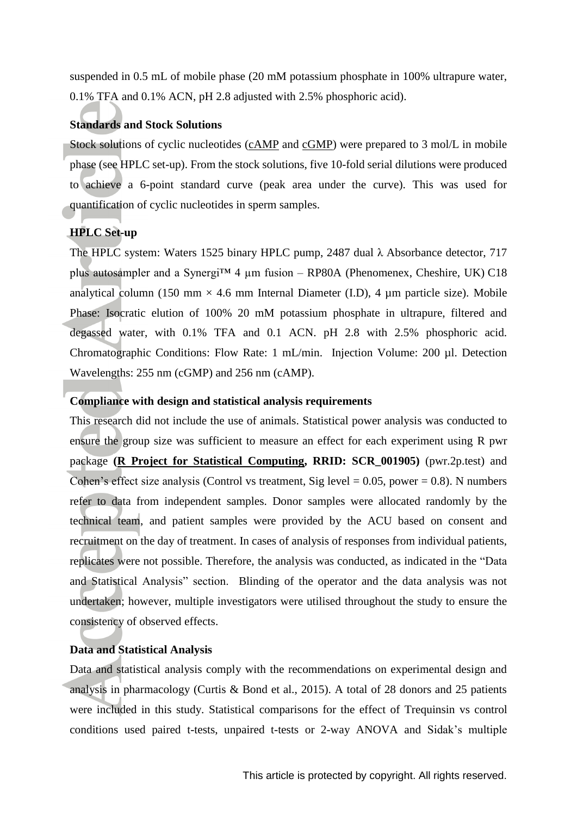suspended in 0.5 mL of mobile phase (20 mM potassium phosphate in 100% ultrapure water, 0.1% TFA and 0.1% ACN, pH 2.8 adjusted with 2.5% phosphoric acid).

### **Standards and Stock Solutions**

Stock solutions of cyclic nucleotides [\(cAMP](http://www.guidetopharmacology.org/GRAC/LigandDisplayForward?ligandId=2352) and [cGMP\)](http://www.guidetopharmacology.org/GRAC/LigandDisplayForward?ligandId=2347) were prepared to 3 mol/L in mobile phase (see HPLC set-up). From the stock solutions, five 10-fold serial dilutions were produced to achieve a 6-point standard curve (peak area under the curve). This was used for quantification of cyclic nucleotides in sperm samples.

### **HPLC Set-up**

The HPLC system: Waters 1525 binary HPLC pump, 2487 dual λ Absorbance detector, 717 plus autosampler and a Synergi<sup>TM</sup> 4  $\mu$ m fusion – RP80A (Phenomenex, Cheshire, UK) C18 analytical column (150 mm  $\times$  4.6 mm Internal Diameter (I.D), 4 µm particle size). Mobile Phase: Isocratic elution of 100% 20 mM potassium phosphate in ultrapure, filtered and degassed water, with 0.1% TFA and 0.1 ACN. pH 2.8 with 2.5% phosphoric acid. Chromatographic Conditions: Flow Rate: 1 mL/min. Injection Volume: 200 µl. Detection Wavelengths: 255 nm (cGMP) and 256 nm (cAMP).

### **Compliance with design and statistical analysis requirements**

This research did not include the use of animals. Statistical power analysis was conducted to ensure the group size was sufficient to measure an effect for each experiment using R pwr package **[\(R Project for Statistical Computing,](http://www.r-project.org/) RRID: SCR\_001905)** (pwr.2p.test) and Cohen's effect size analysis (Control vs treatment, Sig level  $= 0.05$ , power  $= 0.8$ ). N numbers refer to data from independent samples. Donor samples were allocated randomly by the technical team, and patient samples were provided by the ACU based on consent and recruitment on the day of treatment. In cases of analysis of responses from individual patients, replicates were not possible. Therefore, the analysis was conducted, as indicated in the "Data and Statistical Analysis" section. Blinding of the operator and the data analysis was not undertaken; however, multiple investigators were utilised throughout the study to ensure the consistency of observed effects.

### **Data and Statistical Analysis**

Data and statistical analysis comply with the recommendations on experimental design and analysis in pharmacology (Curtis & Bond et al., 2015). A total of 28 donors and 25 patients were included in this study. Statistical comparisons for the effect of Trequinsin vs control conditions used paired t-tests, unpaired t-tests or 2-way ANOVA and Sidak's multiple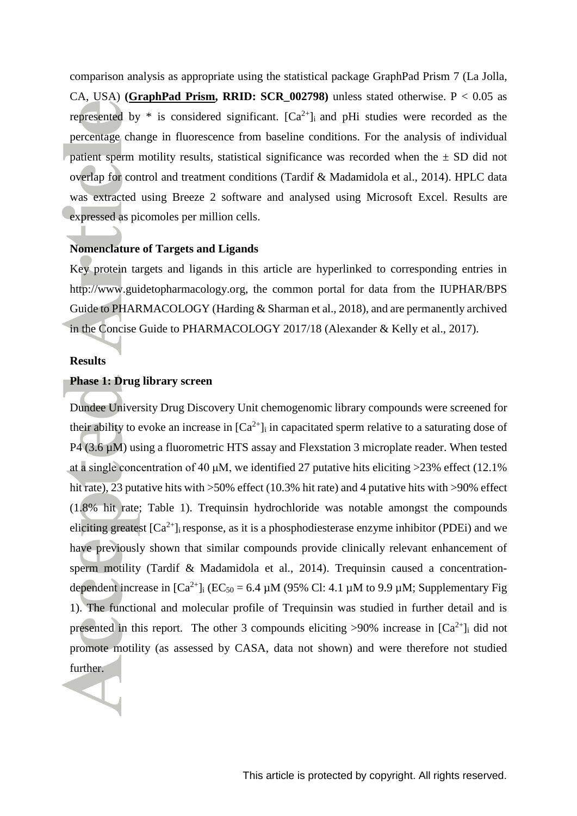comparison analysis as appropriate using the statistical package GraphPad Prism 7 (La Jolla, CA, USA) **[\(GraphPad Prism,](http://www.graphpad.com/) RRID: SCR\_002798)** unless stated otherwise. P < 0.05 as represented by  $*$  is considered significant.  $[Ca^{2+}]$  and pHi studies were recorded as the percentage change in fluorescence from baseline conditions. For the analysis of individual patient sperm motility results, statistical significance was recorded when the  $\pm$  SD did not overlap for control and treatment conditions (Tardif & Madamidola et al., 2014). HPLC data was extracted using Breeze 2 software and analysed using Microsoft Excel. Results are expressed as picomoles per million cells.

### **Nomenclature of Targets and Ligands**

Key protein targets and ligands in this article are hyperlinked to corresponding entries in http://www.guidetopharmacology.org, the common portal for data from the IUPHAR/BPS Guide to PHARMACOLOGY (Harding & Sharman et al., 2018), and are permanently archived in the Concise Guide to PHARMACOLOGY 2017/18 (Alexander & Kelly et al., 2017).

### **Results**

### **Phase 1: Drug library screen**

Dundee University Drug Discovery Unit chemogenomic library compounds were screened for their ability to evoke an increase in  $[Ca^{2+}]$  in capacitated sperm relative to a saturating dose of P4 (3.6  $\mu$ M) using a fluorometric HTS assay and Flexstation 3 microplate reader. When tested at a single concentration of 40  $\mu$ M, we identified 27 putative hits eliciting >23% effect (12.1%) hit rate), 23 putative hits with  $>50\%$  effect (10.3% hit rate) and 4 putative hits with  $>90\%$  effect (1.8% hit rate; Table 1). Trequinsin hydrochloride was notable amongst the compounds eliciting greatest  $[Ca^{2+}]$ <sub>i</sub> response, as it is a phosphodiesterase enzyme inhibitor (PDEi) and we have previously shown that similar compounds provide clinically relevant enhancement of sperm motility (Tardif & Madamidola et al., 2014). Trequinsin caused a concentrationdependent increase in  $[Ca^{2+}]$ ;  $(EC_{50} = 6.4 \mu M)$  (95% Cl: 4.1  $\mu$ M to 9.9  $\mu$ M; Supplementary Fig. 1). The functional and molecular profile of Trequinsin was studied in further detail and is presented in this report. The other 3 compounds eliciting  $>90\%$  increase in  $[Ca^{2+}]\text{i}$  did not promote motility (as assessed by CASA, data not shown) and were therefore not studied further.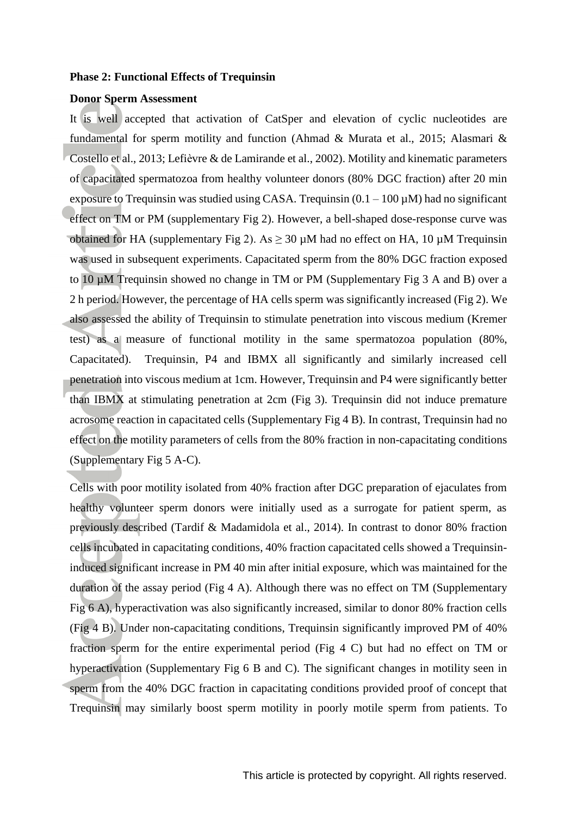### **Phase 2: Functional Effects of Trequinsin**

### **Donor Sperm Assessment**

It is well accepted that activation of CatSper and elevation of cyclic nucleotides are fundamental for sperm motility and function (Ahmad & Murata et al., 2015; Alasmari & Costello et al., 2013; Lefièvre & de Lamirande et al., 2002). Motility and kinematic parameters of capacitated spermatozoa from healthy volunteer donors (80% DGC fraction) after 20 min exposure to Trequinsin was studied using CASA. Trequinsin  $(0.1 - 100 \,\mu\text{M})$  had no significant effect on TM or PM (supplementary Fig 2). However, a bell-shaped dose-response curve was obtained for HA (supplementary Fig 2). As  $\geq$  30  $\mu$ M had no effect on HA, 10  $\mu$ M Trequinsin was used in subsequent experiments. Capacitated sperm from the 80% DGC fraction exposed to 10 µM Trequinsin showed no change in TM or PM [\(Supplementary Fig 3](#page-34-0) A and B) over a 2 h period. However, the percentage of HA cells sperm was significantly increased (Fig 2). We also assessed the ability of Trequinsin to stimulate penetration into viscous medium (Kremer test) as a measure of functional motility in the same spermatozoa population (80%, Capacitated). Trequinsin, P4 and IBMX all significantly and similarly increased cell penetration into viscous medium at 1cm. However, Trequinsin and P4 were significantly better than IBMX at stimulating penetration at 2cm [\(Fig 3\)](#page-25-0). Trequinsin did not induce premature acrosome reaction in capacitated cells [\(Supplementary Fig 4](#page-34-0) B). In contrast, Trequinsin had no effect on the motility parameters of cells from the 80% fraction in non-capacitating conditions [\(Supplementary Fig 5 A-C\)](#page-34-0).

Cells with poor motility isolated from 40% fraction after DGC preparation of ejaculates from healthy volunteer sperm donors were initially used as a surrogate for patient sperm, as previously described (Tardif & Madamidola et al., 2014). In contrast to donor 80% fraction cells incubated in capacitating conditions, 40% fraction capacitated cells showed a Trequinsininduced significant increase in PM 40 min after initial exposure, which was maintained for the duration of the assay period [\(Fig 4 A\)](#page-26-0). Although there was no effect on TM (Supplementary Fig 6 A), hyperactivation was also significantly increased, similar to donor 80% fraction cells (Fig 4 B). Under non-capacitating conditions, Trequinsin significantly improved PM of 40% fraction sperm for the entire experimental period (Fig 4 C) but had no effect on TM or hyperactivation (Supplementary Fig 6 B and C). The significant changes in motility seen in sperm from the 40% DGC fraction in capacitating conditions provided proof of concept that Trequinsin may similarly boost sperm motility in poorly motile sperm from patients. To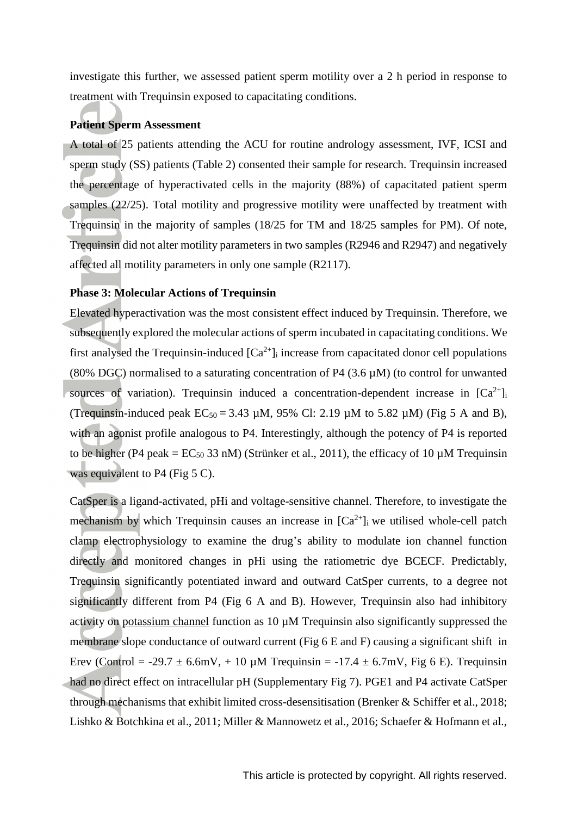investigate this further, we assessed patient sperm motility over a 2 h period in response to treatment with Trequinsin exposed to capacitating conditions.

### **Patient Sperm Assessment**

A total of 25 patients attending the ACU for routine andrology assessment, IVF, ICSI and sperm study (SS) patients [\(Table 2\)](#page-34-0) consented their sample for research. Trequinsin increased the percentage of hyperactivated cells in the majority (88%) of capacitated patient sperm samples (22/25). Total motility and progressive motility were unaffected by treatment with Trequinsin in the majority of samples (18/25 for TM and 18/25 samples for PM). Of note, Trequinsin did not alter motility parameters in two samples (R2946 and R2947) and negatively affected all motility parameters in only one sample (R2117).

### **Phase 3: Molecular Actions of Trequinsin**

Elevated hyperactivation was the most consistent effect induced by Trequinsin. Therefore, we subsequently explored the molecular actions of sperm incubated in capacitating conditions. We first analysed the Trequinsin-induced  $[Ca^{2+}]$  increase from capacitated donor cell populations (80% DGC) normalised to a saturating concentration of P4 (3.6  $\mu$ M) (to control for unwanted sources of variation). Trequinsin induced a concentration-dependent increase in  $[Ca^{2+}]_i$ (Trequinsin-induced peak  $EC_{50} = 3.43 \mu M$ , 95% Cl: 2.19  $\mu$ M to 5.82  $\mu$ M) (Fig 5 A and B), with an agonist profile analogous to P4. Interestingly, although the potency of P4 is reported to be higher (P4 peak =  $EC_{50}$  33 nM) (Strünker et al., 2011), the efficacy of 10  $\mu$ M Trequinsin was equivalent to P4 (Fig 5 C).

CatSper is a ligand-activated, pHi and voltage-sensitive channel. Therefore, to investigate the mechanism by which Trequinsin causes an increase in  $[Ca^{2+}]$  we utilised whole-cell patch clamp electrophysiology to examine the drug's ability to modulate ion channel function directly and monitored changes in pHi using the ratiometric dye BCECF. Predictably, Trequinsin significantly potentiated inward and outward CatSper currents, to a degree not significantly different from P4 (Fig 6 A and B). However, Trequinsin also had inhibitory activity on [potassium channel](http://www.guidetopharmacology.org/GRAC/ObjectDisplayForward?objectId=387) function as 10 µM Trequinsin also significantly suppressed the membrane slope conductance of outward current (Fig 6 E and F) causing a significant shift in Erev (Control = -29.7  $\pm$  6.6mV, + 10  $\mu$ M Trequinsin = -17.4  $\pm$  6.7mV, Fig 6 E). Trequinsin had no direct effect on intracellular pH (Supplementary Fig 7). PGE1 and P4 activate CatSper through mechanisms that exhibit limited cross-desensitisation (Brenker & Schiffer et al., 2018; Lishko & Botchkina et al., 2011; Miller & Mannowetz et al., 2016; Schaefer & Hofmann et al.,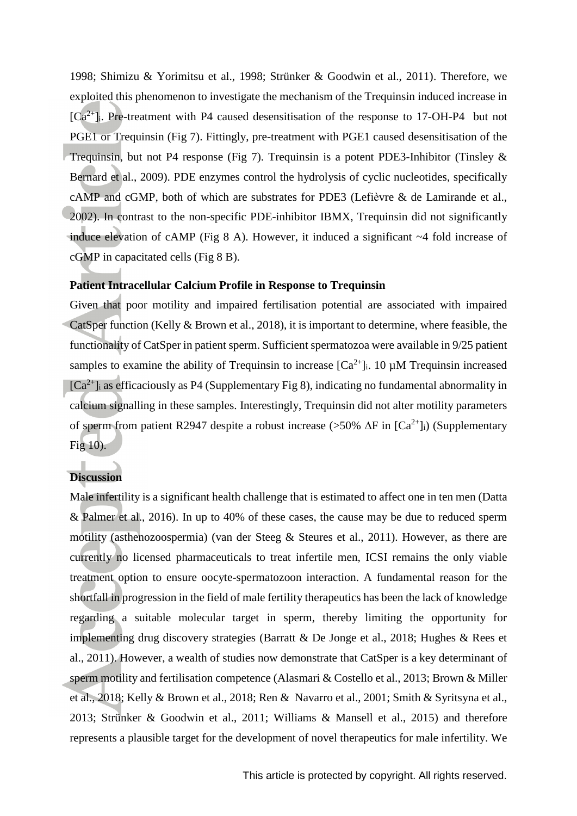1998; Shimizu & Yorimitsu et al., 1998; Strünker & Goodwin et al., 2011). Therefore, we exploited this phenomenon to investigate the mechanism of the Trequinsin induced increase in  $[Ca^{2+}]$ . Pre-treatment with P4 caused desensitisation of the response to 17-OH-P4 but not PGE1 or Trequinsin (Fig 7). Fittingly, pre-treatment with PGE1 caused desensitisation of the Trequinsin, but not P4 response (Fig 7). Trequinsin is a potent PDE3-Inhibitor (Tinsley & Bernard et al., 2009). PDE enzymes control the hydrolysis of cyclic nucleotides, specifically cAMP and cGMP, both of which are substrates for PDE3 (Lefièvre & de Lamirande et al., 2002). In contrast to the non-specific PDE-inhibitor IBMX, Trequinsin did not significantly induce elevation of cAMP (Fig 8 A). However, it induced a significant ~4 fold increase of cGMP in capacitated cells (Fig 8 B).

### **Patient Intracellular Calcium Profile in Response to Trequinsin**

Given that poor motility and impaired fertilisation potential are associated with impaired CatSper function (Kelly & Brown et al., 2018), it is important to determine, where feasible, the functionality of CatSper in patient sperm. Sufficient spermatozoa were available in 9/25 patient samples to examine the ability of Trequinsin to increase  $[Ca^{2+}]\text{i}$ . 10  $\mu$ M Trequinsin increased  $[Ca^{2+}]$  as efficaciously as P4 [\(Supplementary Fig 8\)](#page-34-0), indicating no fundamental abnormality in calcium signalling in these samples. Interestingly, Trequinsin did not alter motility parameters of sperm from patient R2947 despite a robust increase (>50%  $\Delta F$  in [Ca<sup>2+</sup>]<sub>i</sub>) (Supplementary [Fig 10\)](#page-34-0).

### **Discussion**

Male infertility is a significant health challenge that is estimated to affect one in ten men (Datta & Palmer et al., 2016). In up to 40% of these cases, the cause may be due to reduced sperm motility (asthenozoospermia) (van der Steeg & Steures et al., 2011). However, as there are currently no licensed pharmaceuticals to treat infertile men, ICSI remains the only viable treatment option to ensure oocyte-spermatozoon interaction. A fundamental reason for the shortfall in progression in the field of male fertility therapeutics has been the lack of knowledge regarding a suitable molecular target in sperm, thereby limiting the opportunity for implementing drug discovery strategies (Barratt & De Jonge et al., 2018; Hughes & Rees et al., 2011). However, a wealth of studies now demonstrate that CatSper is a key determinant of sperm motility and fertilisation competence (Alasmari & Costello et al., 2013; Brown & Miller et al., 2018; Kelly & Brown et al., 2018; Ren & Navarro et al., 2001; Smith & Syritsyna et al., 2013; Strünker & Goodwin et al., 2011; Williams & Mansell et al., 2015) and therefore represents a plausible target for the development of novel therapeutics for male infertility. We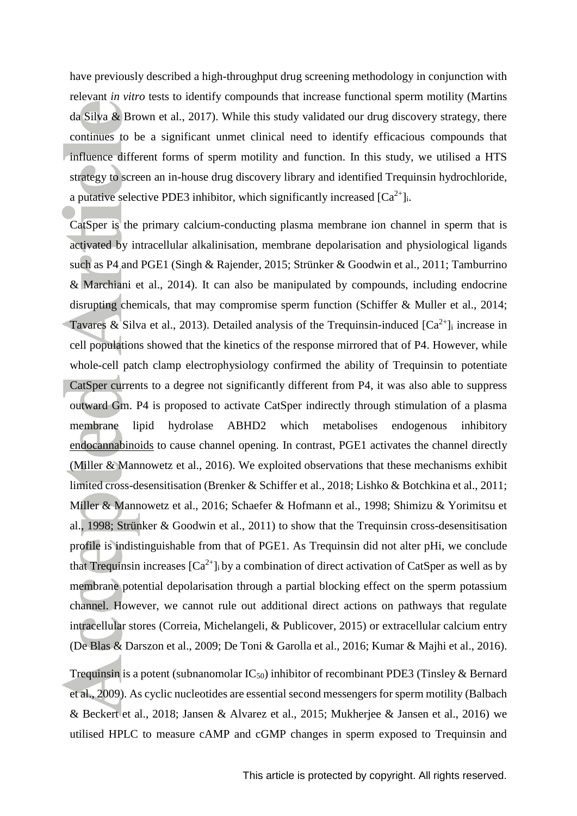have previously described a high-throughput drug screening methodology in conjunction with relevant *in vitro* tests to identify compounds that increase functional sperm motility (Martins da Silva & Brown et al., 2017). While this study validated our drug discovery strategy, there continues to be a significant unmet clinical need to identify efficacious compounds that influence different forms of sperm motility and function. In this study, we utilised a HTS strategy to screen an in-house drug discovery library and identified Trequinsin hydrochloride, a putative selective PDE3 inhibitor, which significantly increased  $[Ca^{2+}]$ .

CatSper is the primary calcium-conducting plasma membrane ion channel in sperm that is activated by intracellular alkalinisation, membrane depolarisation and physiological ligands such as P4 and PGE1 (Singh & Rajender, 2015; Strünker & Goodwin et al., 2011; Tamburrino & Marchiani et al., 2014). It can also be manipulated by compounds, including endocrine disrupting chemicals, that may compromise sperm function (Schiffer & Muller et al., 2014; Tavares & Silva et al., 2013). Detailed analysis of the Trequinsin-induced  $[Ca^{2+}]$  increase in cell populations showed that the kinetics of the response mirrored that of P4. However, while whole-cell patch clamp electrophysiology confirmed the ability of Trequinsin to potentiate CatSper currents to a degree not significantly different from P4, it was also able to suppress outward Gm. P4 is proposed to activate CatSper indirectly through stimulation of a plasma membrane lipid hydrolase ABHD2 which metabolises endogenous inhibitory [endocannabinoids](http://www.guidetopharmacology.org/GRAC/FamilyDisplayForward?familyId=943) to cause channel opening. In contrast, PGE1 activates the channel directly (Miller & Mannowetz et al., 2016). We exploited observations that these mechanisms exhibit limited cross-desensitisation (Brenker & Schiffer et al., 2018; Lishko & Botchkina et al., 2011; Miller & Mannowetz et al., 2016; Schaefer & Hofmann et al., 1998; Shimizu & Yorimitsu et al., 1998; Strünker & Goodwin et al., 2011) to show that the Trequinsin cross-desensitisation profile is indistinguishable from that of PGE1. As Trequinsin did not alter pHi, we conclude that Trequinsin increases  $[Ca^{2+}]_i$  by a combination of direct activation of CatSper as well as by membrane potential depolarisation through a partial blocking effect on the sperm potassium channel. However, we cannot rule out additional direct actions on pathways that regulate intracellular stores (Correia, Michelangeli, & Publicover, 2015) or extracellular calcium entry (De Blas & Darszon et al., 2009; De Toni & Garolla et al., 2016; Kumar & Majhi et al., 2016).

Trequinsin is a potent (subnanomolar  $IC_{50}$ ) inhibitor of recombinant PDE3 (Tinsley & Bernard et al., 2009). As cyclic nucleotides are essential second messengers for sperm motility (Balbach & Beckert et al., 2018; Jansen & Alvarez et al., 2015; Mukherjee & Jansen et al., 2016) we utilised HPLC to measure cAMP and cGMP changes in sperm exposed to Trequinsin and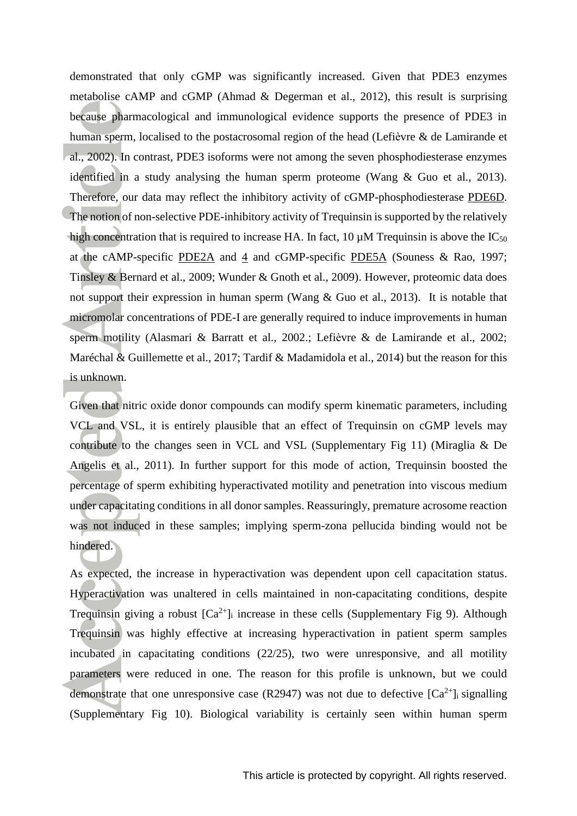demonstrated that only cGMP was significantly increased. Given that PDE3 enzymes metabolise cAMP and cGMP (Ahmad & Degerman et al., 2012), this result is surprising because pharmacological and immunological evidence supports the presence of PDE3 in human sperm, localised to the postacrosomal region of the head (Lefièvre & de Lamirande et al., 2002). In contrast, PDE3 isoforms were not among the seven phosphodiesterase enzymes identified in a study analysing the human sperm proteome (Wang & Guo et al., 2013). Therefore, our data may reflect the inhibitory activity of cGMP-phosphodiesterase [PDE6D.](http://www.guidetopharmacology.org/GRAC/FamilyDisplayForward?familyId=260#1315) The notion of non-selective PDE-inhibitory activity of Trequinsin is supported by the relatively high concentration that is required to increase HA. In fact, 10  $\mu$ M Trequinsin is above the IC<sub>50</sub> at the cAMP-specific  $\underline{PDE2A}$  $\underline{PDE2A}$  $\underline{PDE2A}$  and  $\underline{4}$  and cGMP-specific  $\underline{PDE5A}$  $\underline{PDE5A}$  $\underline{PDE5A}$  (Souness & Rao, 1997; Tinsley & Bernard et al., 2009; Wunder & Gnoth et al., 2009). However, proteomic data does not support their expression in human sperm (Wang & Guo et al., 2013). It is notable that micromolar concentrations of PDE-I are generally required to induce improvements in human sperm motility (Alasmari & Barratt et al., 2002.; Lefièvre & de Lamirande et al., 2002; Maréchal & Guillemette et al., 2017; Tardif & Madamidola et al., 2014) but the reason for this is unknown.

Given that nitric oxide donor compounds can modify sperm kinematic parameters, including VCL and VSL, it is entirely plausible that an effect of Trequinsin on cGMP levels may contribute to the changes seen in VCL and VSL (Supplementary Fig 11) (Miraglia & De Angelis et al., 2011). In further support for this mode of action, Trequinsin boosted the percentage of sperm exhibiting hyperactivated motility and penetration into viscous medium under capacitating conditions in all donor samples. Reassuringly, premature acrosome reaction was not induced in these samples; implying sperm-zona pellucida binding would not be hindered.

As expected, the increase in hyperactivation was dependent upon cell capacitation status. Hyperactivation was unaltered in cells maintained in non-capacitating conditions, despite Trequinsin giving a robust  $[Ca^{2+}]}$  increase in these cells [\(Supplementary](#page-34-0) Fig 9). Although Trequinsin was highly effective at increasing hyperactivation in patient sperm samples incubated in capacitating conditions (22/25), two were unresponsive, and all motility parameters were reduced in one. The reason for this profile is unknown, but we could demonstrate that one unresponsive case (R2947) was not due to defective  $[Ca^{2+}]$  signalling [\(Supplementary](#page-34-0) Fig 10). Biological variability is certainly seen within human sperm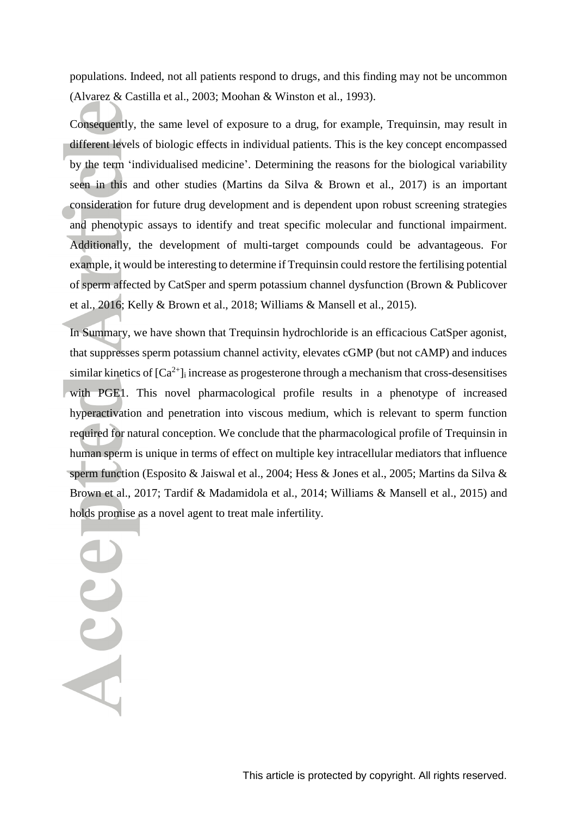populations. Indeed, not all patients respond to drugs, and this finding may not be uncommon (Alvarez & Castilla et al., 2003; Moohan & Winston et al., 1993).

Consequently, the same level of exposure to a drug, for example, Trequinsin, may result in different levels of biologic effects in individual patients. This is the key concept encompassed by the term 'individualised medicine'. Determining the reasons for the biological variability seen in this and other studies (Martins da Silva & Brown et al., 2017) is an important consideration for future drug development and is dependent upon robust screening strategies and phenotypic assays to identify and treat specific molecular and functional impairment. Additionally, the development of multi-target compounds could be advantageous. For example, it would be interesting to determine if Trequinsin could restore the fertilising potential of sperm affected by CatSper and sperm potassium channel dysfunction (Brown & Publicover et al., 2016; Kelly & Brown et al., 2018; Williams & Mansell et al., 2015).

In Summary, we have shown that Trequinsin hydrochloride is an efficacious CatSper agonist, that suppresses sperm potassium channel activity, elevates cGMP (but not cAMP) and induces similar kinetics of  $[Ca^{2+}]$  increase as progesterone through a mechanism that cross-desensitises with PGE1. This novel pharmacological profile results in a phenotype of increased hyperactivation and penetration into viscous medium, which is relevant to sperm function required for natural conception. We conclude that the pharmacological profile of Trequinsin in human sperm is unique in terms of effect on multiple key intracellular mediators that influence sperm function (Esposito & Jaiswal et al., 2004; Hess & Jones et al., 2005; Martins da Silva & Brown et al., 2017; Tardif & Madamidola et al., 2014; Williams & Mansell et al., 2015) and holds promise as a novel agent to treat male infertility.

Acce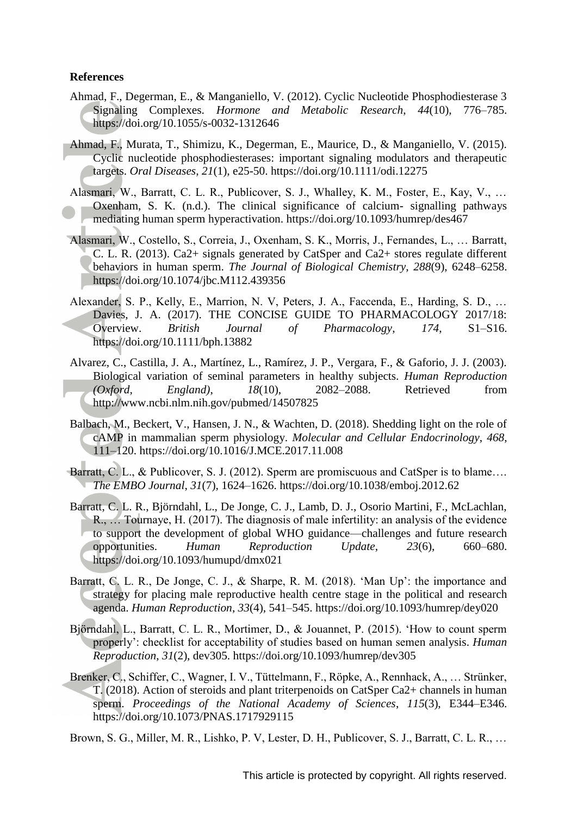### **References**

- Ahmad, F., Degerman, E., & Manganiello, V. (2012). Cyclic Nucleotide Phosphodiesterase 3 Signaling Complexes. *Hormone and Metabolic Research*, *44*(10), 776–785. https://doi.org/10.1055/s-0032-1312646
- Ahmad, F., Murata, T., Shimizu, K., Degerman, E., Maurice, D., & Manganiello, V. (2015). Cyclic nucleotide phosphodiesterases: important signaling modulators and therapeutic targets. *Oral Diseases*, *21*(1), e25-50. https://doi.org/10.1111/odi.12275
- Alasmari, W., Barratt, C. L. R., Publicover, S. J., Whalley, K. M., Foster, E., Kay, V., … Oxenham, S. K. (n.d.). The clinical significance of calcium- signalling pathways mediating human sperm hyperactivation. https://doi.org/10.1093/humrep/des467
- Alasmari, W., Costello, S., Correia, J., Oxenham, S. K., Morris, J., Fernandes, L., … Barratt, C. L. R. (2013). Ca2+ signals generated by CatSper and Ca2+ stores regulate different behaviors in human sperm. *The Journal of Biological Chemistry*, *288*(9), 6248–6258. https://doi.org/10.1074/jbc.M112.439356
- Alexander, S. P., Kelly, E., Marrion, N. V, Peters, J. A., Faccenda, E., Harding, S. D., … Davies, J. A. (2017). THE CONCISE GUIDE TO PHARMACOLOGY 2017/18: Overview. *British Journal of Pharmacology*, *174*, S1–S16. https://doi.org/10.1111/bph.13882
- Alvarez, C., Castilla, J. A., Martínez, L., Ramírez, J. P., Vergara, F., & Gaforio, J. J. (2003). Biological variation of seminal parameters in healthy subjects. *Human Reproduction (Oxford, England)*, *18*(10), 2082–2088. Retrieved from http://www.ncbi.nlm.nih.gov/pubmed/14507825
- Balbach, M., Beckert, V., Hansen, J. N., & Wachten, D. (2018). Shedding light on the role of cAMP in mammalian sperm physiology. *Molecular and Cellular Endocrinology*, *468*, 111–120. https://doi.org/10.1016/J.MCE.2017.11.008
- Barratt, C. L., & Publicover, S. J. (2012). Sperm are promiscuous and CatSper is to blame.... *The EMBO Journal*, *31*(7), 1624–1626. https://doi.org/10.1038/emboj.2012.62
- Barratt, C. L. R., Björndahl, L., De Jonge, C. J., Lamb, D. J., Osorio Martini, F., McLachlan, R., … Tournaye, H. (2017). The diagnosis of male infertility: an analysis of the evidence to support the development of global WHO guidance—challenges and future research opportunities. *Human Reproduction Update*, *23*(6), 660–680. https://doi.org/10.1093/humupd/dmx021
- Barratt, C. L. R., De Jonge, C. J., & Sharpe, R. M. (2018). 'Man Up': the importance and strategy for placing male reproductive health centre stage in the political and research agenda. *Human Reproduction*, *33*(4), 541–545. https://doi.org/10.1093/humrep/dey020
- Björndahl, L., Barratt, C. L. R., Mortimer, D., & Jouannet, P. (2015). 'How to count sperm properly': checklist for acceptability of studies based on human semen analysis. *Human Reproduction*, *31*(2), dev305. https://doi.org/10.1093/humrep/dev305
- Brenker, C., Schiffer, C., Wagner, I. V., Tüttelmann, F., Röpke, A., Rennhack, A., … Strünker, T. (2018). Action of steroids and plant triterpenoids on CatSper Ca2+ channels in human sperm. *Proceedings of the National Academy of Sciences*, *115*(3), E344–E346. https://doi.org/10.1073/PNAS.1717929115

Brown, S. G., Miller, M. R., Lishko, P. V, Lester, D. H., Publicover, S. J., Barratt, C. L. R., …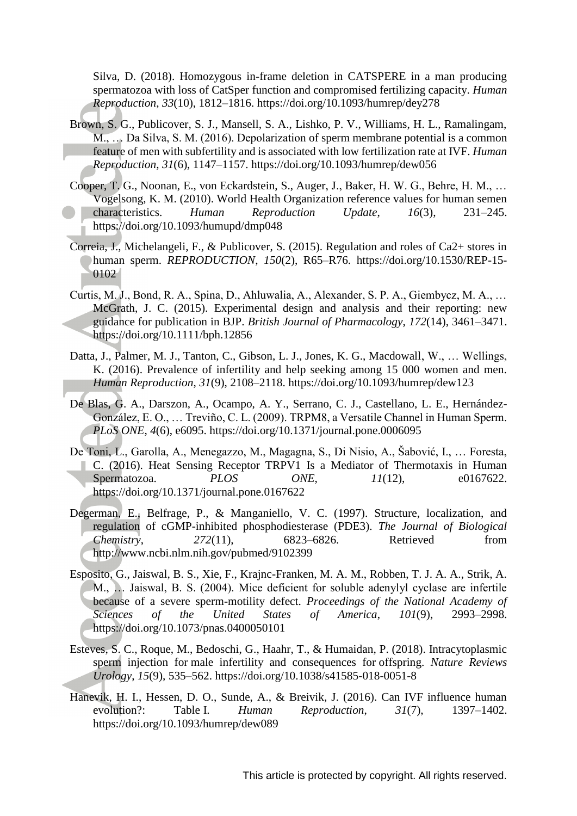Silva, D. (2018). Homozygous in-frame deletion in CATSPERE in a man producing spermatozoa with loss of CatSper function and compromised fertilizing capacity. *Human Reproduction*, *33*(10), 1812–1816. https://doi.org/10.1093/humrep/dey278

- Brown, S. G., Publicover, S. J., Mansell, S. A., Lishko, P. V., Williams, H. L., Ramalingam, M., … Da Silva, S. M. (2016). Depolarization of sperm membrane potential is a common feature of men with subfertility and is associated with low fertilization rate at IVF. *Human Reproduction*, *31*(6), 1147–1157. https://doi.org/10.1093/humrep/dew056
- Cooper, T. G., Noonan, E., von Eckardstein, S., Auger, J., Baker, H. W. G., Behre, H. M., … Vogelsong, K. M. (2010). World Health Organization reference values for human semen characteristics. *Human Reproduction Update*, *16*(3), 231–245. https://doi.org/10.1093/humupd/dmp048
- Correia, J., Michelangeli, F., & Publicover, S. (2015). Regulation and roles of Ca2+ stores in human sperm. *REPRODUCTION*, *150*(2), R65–R76. https://doi.org/10.1530/REP-15- 0102
- Curtis, M. J., Bond, R. A., Spina, D., Ahluwalia, A., Alexander, S. P. A., Giembycz, M. A., … McGrath, J. C. (2015). Experimental design and analysis and their reporting: new guidance for publication in BJP. *British Journal of Pharmacology*, *172*(14), 3461–3471. https://doi.org/10.1111/bph.12856
- Datta, J., Palmer, M. J., Tanton, C., Gibson, L. J., Jones, K. G., Macdowall, W., … Wellings, K. (2016). Prevalence of infertility and help seeking among 15 000 women and men. *Human Reproduction*, *31*(9), 2108–2118. https://doi.org/10.1093/humrep/dew123
- De Blas, G. A., Darszon, A., Ocampo, A. Y., Serrano, C. J., Castellano, L. E., Hernández-González, E. O., … Treviño, C. L. (2009). TRPM8, a Versatile Channel in Human Sperm. *PLoS ONE*, *4*(6), e6095. https://doi.org/10.1371/journal.pone.0006095
- De Toni, L., Garolla, A., Menegazzo, M., Magagna, S., Di Nisio, A., Šabović, I., … Foresta, C. (2016). Heat Sensing Receptor TRPV1 Is a Mediator of Thermotaxis in Human Spermatozoa. *PLOS ONE*, *11*(12), e0167622. https://doi.org/10.1371/journal.pone.0167622
- Degerman, E., Belfrage, P., & Manganiello, V. C. (1997). Structure, localization, and regulation of cGMP-inhibited phosphodiesterase (PDE3). *The Journal of Biological Chemistry*, *272*(11), 6823–6826. Retrieved from http://www.ncbi.nlm.nih.gov/pubmed/9102399
- Esposito, G., Jaiswal, B. S., Xie, F., Krajnc-Franken, M. A. M., Robben, T. J. A. A., Strik, A. M., … Jaiswal, B. S. (2004). Mice deficient for soluble adenylyl cyclase are infertile because of a severe sperm-motility defect. *Proceedings of the National Academy of Sciences of the United States of America*, *101*(9), 2993–2998. https://doi.org/10.1073/pnas.0400050101
- Esteves, S. C., Roque, M., Bedoschi, G., Haahr, T., & Humaidan, P. (2018). Intracytoplasmic sperm injection for male infertility and consequences for offspring. *Nature Reviews Urology*, *15*(9), 535–562. https://doi.org/10.1038/s41585-018-0051-8
- Hanevik, H. I., Hessen, D. O., Sunde, A., & Breivik, J. (2016). Can IVF influence human evolution?: Table I. *Human Reproduction*, *31*(7), 1397–1402. https://doi.org/10.1093/humrep/dew089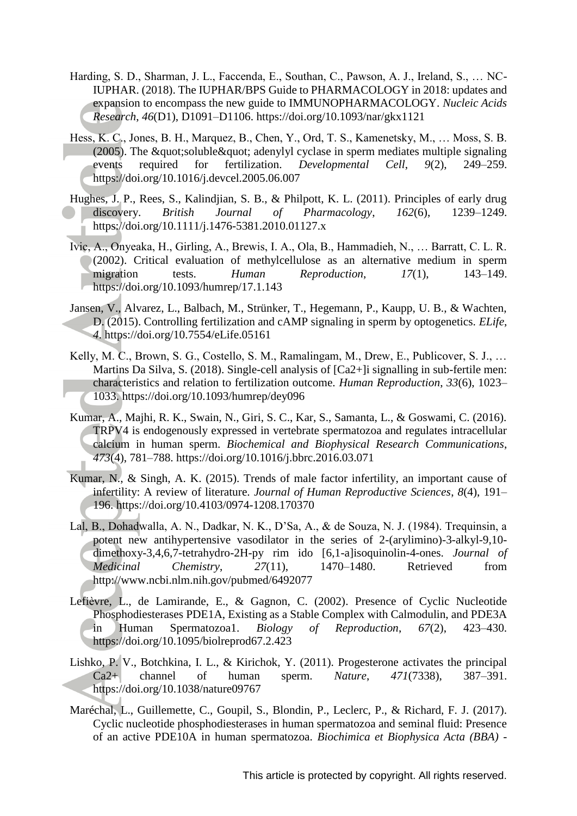- Harding, S. D., Sharman, J. L., Faccenda, E., Southan, C., Pawson, A. J., Ireland, S., … NC-IUPHAR. (2018). The IUPHAR/BPS Guide to PHARMACOLOGY in 2018: updates and expansion to encompass the new guide to IMMUNOPHARMACOLOGY. *Nucleic Acids Research*, *46*(D1), D1091–D1106. https://doi.org/10.1093/nar/gkx1121
- Hess, K. C., Jones, B. H., Marquez, B., Chen, Y., Ord, T. S., Kamenetsky, M., … Moss, S. B. (2005). The  $\&$ quot;soluble $\&$ quot; adenylyl cyclase in sperm mediates multiple signaling events required for fertilization. *Developmental Cell*, *9*(2), 249–259. https://doi.org/10.1016/j.devcel.2005.06.007
- Hughes, J. P., Rees, S., Kalindjian, S. B., & Philpott, K. L. (2011). Principles of early drug discovery. *British Journal of Pharmacology*, *162*(6), 1239–1249. https://doi.org/10.1111/j.1476-5381.2010.01127.x
- Ivic, A., Onyeaka, H., Girling, A., Brewis, I. A., Ola, B., Hammadieh, N., … Barratt, C. L. R. (2002). Critical evaluation of methylcellulose as an alternative medium in sperm migration tests. *Human Reproduction*, 17(1), 143–149. https://doi.org/10.1093/humrep/17.1.143
- Jansen, V., Alvarez, L., Balbach, M., Strünker, T., Hegemann, P., Kaupp, U. B., & Wachten, D. (2015). Controlling fertilization and cAMP signaling in sperm by optogenetics. *ELife*, *4*. https://doi.org/10.7554/eLife.05161
- Kelly, M. C., Brown, S. G., Costello, S. M., Ramalingam, M., Drew, E., Publicover, S. J., … Martins Da Silva, S. (2018). Single-cell analysis of [Ca2+] is signalling in sub-fertile men: characteristics and relation to fertilization outcome. *Human Reproduction*, *33*(6), 1023– 1033. https://doi.org/10.1093/humrep/dey096
- Kumar, A., Majhi, R. K., Swain, N., Giri, S. C., Kar, S., Samanta, L., & Goswami, C. (2016). TRPV4 is endogenously expressed in vertebrate spermatozoa and regulates intracellular calcium in human sperm. *Biochemical and Biophysical Research Communications*, *473*(4), 781–788. https://doi.org/10.1016/j.bbrc.2016.03.071
- Kumar, N., & Singh, A. K. (2015). Trends of male factor infertility, an important cause of infertility: A review of literature. *Journal of Human Reproductive Sciences*, *8*(4), 191– 196. https://doi.org/10.4103/0974-1208.170370
- Lal, B., Dohadwalla, A. N., Dadkar, N. K., D'Sa, A., & de Souza, N. J. (1984). Trequinsin, a potent new antihypertensive vasodilator in the series of 2-(arylimino)-3-alkyl-9,10 dimethoxy-3,4,6,7-tetrahydro-2H-py rim ido [6,1-a]isoquinolin-4-ones. *Journal of Medicinal Chemistry*, *27*(11), 1470–1480. Retrieved from http://www.ncbi.nlm.nih.gov/pubmed/6492077
- Lefièvre, L., de Lamirande, E., & Gagnon, C. (2002). Presence of Cyclic Nucleotide Phosphodiesterases PDE1A, Existing as a Stable Complex with Calmodulin, and PDE3A in Human Spermatozoa1. *Biology of Reproduction*, *67*(2), 423–430. https://doi.org/10.1095/biolreprod67.2.423
- Lishko, P. V., Botchkina, I. L., & Kirichok, Y. (2011). Progesterone activates the principal Ca2+ channel of human sperm. *Nature*, *471*(7338), 387–391. https://doi.org/10.1038/nature09767
- Maréchal, L., Guillemette, C., Goupil, S., Blondin, P., Leclerc, P., & Richard, F. J. (2017). Cyclic nucleotide phosphodiesterases in human spermatozoa and seminal fluid: Presence of an active PDE10A in human spermatozoa. *Biochimica et Biophysica Acta (BBA) -*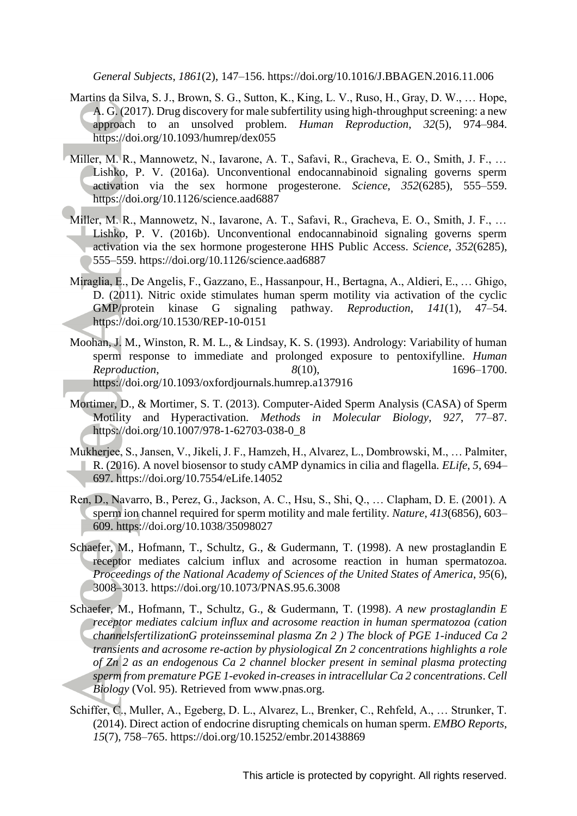*General Subjects*, *1861*(2), 147–156. https://doi.org/10.1016/J.BBAGEN.2016.11.006

- Martins da Silva, S. J., Brown, S. G., Sutton, K., King, L. V., Ruso, H., Gray, D. W., … Hope, A. G. (2017). Drug discovery for male subfertility using high-throughput screening: a new approach to an unsolved problem. *Human Reproduction*, *32*(5), 974–984. https://doi.org/10.1093/humrep/dex055
- Miller, M. R., Mannowetz, N., Iavarone, A. T., Safavi, R., Gracheva, E. O., Smith, J. F., … Lishko, P. V. (2016a). Unconventional endocannabinoid signaling governs sperm activation via the sex hormone progesterone. *Science*, *352*(6285), 555–559. https://doi.org/10.1126/science.aad6887
- Miller, M. R., Mannowetz, N., Iavarone, A. T., Safavi, R., Gracheva, E. O., Smith, J. F., … Lishko, P. V. (2016b). Unconventional endocannabinoid signaling governs sperm activation via the sex hormone progesterone HHS Public Access. *Science*, *352*(6285), 555–559. https://doi.org/10.1126/science.aad6887
- Miraglia, E., De Angelis, F., Gazzano, E., Hassanpour, H., Bertagna, A., Aldieri, E., … Ghigo, D. (2011). Nitric oxide stimulates human sperm motility via activation of the cyclic GMP/protein kinase G signaling pathway. *Reproduction*, *141*(1), 47–54. https://doi.org/10.1530/REP-10-0151
- Moohan, J. M., Winston, R. M. L., & Lindsay, K. S. (1993). Andrology: Variability of human sperm response to immediate and prolonged exposure to pentoxifylline. *Human Reproduction*, *8*(10), 1696–1700. https://doi.org/10.1093/oxfordjournals.humrep.a137916
- Mortimer, D., & Mortimer, S. T. (2013). Computer-Aided Sperm Analysis (CASA) of Sperm Motility and Hyperactivation. *Methods in Molecular Biology*, *927*, 77–87. https://doi.org/10.1007/978-1-62703-038-0\_8
- Mukherjee, S., Jansen, V., Jikeli, J. F., Hamzeh, H., Alvarez, L., Dombrowski, M., … Palmiter, R. (2016). A novel biosensor to study cAMP dynamics in cilia and flagella. *ELife*, *5*, 694– 697. https://doi.org/10.7554/eLife.14052
- Ren, D., Navarro, B., Perez, G., Jackson, A. C., Hsu, S., Shi, Q., … Clapham, D. E. (2001). A sperm ion channel required for sperm motility and male fertility. *Nature*, *413*(6856), 603– 609. https://doi.org/10.1038/35098027
- Schaefer, M., Hofmann, T., Schultz, G., & Gudermann, T. (1998). A new prostaglandin E receptor mediates calcium influx and acrosome reaction in human spermatozoa. *Proceedings of the National Academy of Sciences of the United States of America*, *95*(6), 3008–3013. https://doi.org/10.1073/PNAS.95.6.3008
- Schaefer, M., Hofmann, T., Schultz, G., & Gudermann, T. (1998). *A new prostaglandin E receptor mediates calcium influx and acrosome reaction in human spermatozoa (cation channelsfertilizationG proteinsseminal plasma Zn 2 ) The block of PGE 1-induced Ca 2 transients and acrosome re-action by physiological Zn 2 concentrations highlights a role of Zn 2 as an endogenous Ca 2 channel blocker present in seminal plasma protecting sperm from premature PGE 1-evoked in-creases in intracellular Ca 2 concentrations*. *Cell Biology* (Vol. 95). Retrieved from www.pnas.org.
- Schiffer, C., Muller, A., Egeberg, D. L., Alvarez, L., Brenker, C., Rehfeld, A., … Strunker, T. (2014). Direct action of endocrine disrupting chemicals on human sperm. *EMBO Reports*, *15*(7), 758–765. https://doi.org/10.15252/embr.201438869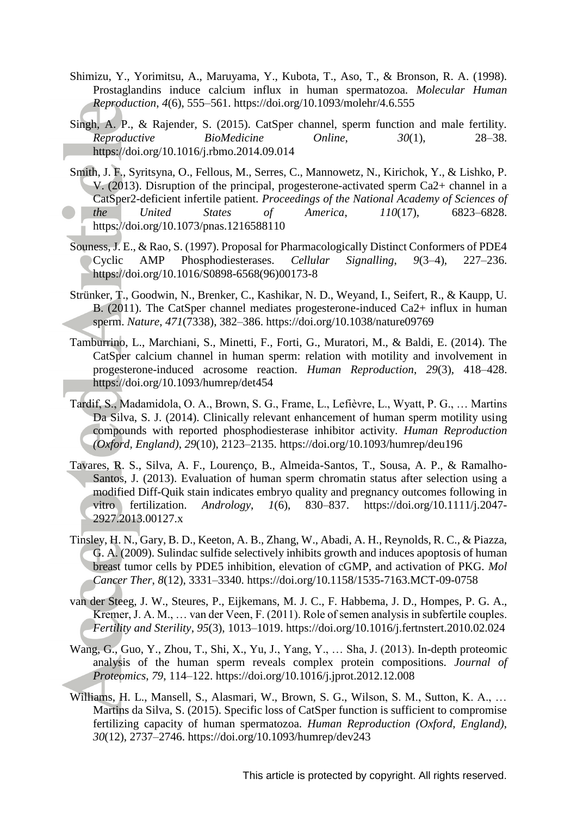- Shimizu, Y., Yorimitsu, A., Maruyama, Y., Kubota, T., Aso, T., & Bronson, R. A. (1998). Prostaglandins induce calcium influx in human spermatozoa. *Molecular Human Reproduction*, *4*(6), 555–561. https://doi.org/10.1093/molehr/4.6.555
- Singh, A. P., & Rajender, S. (2015). CatSper channel, sperm function and male fertility. *Reproductive BioMedicine Online*, *30*(1), 28–38. https://doi.org/10.1016/j.rbmo.2014.09.014
- Smith, J. F., Syritsyna, O., Fellous, M., Serres, C., Mannowetz, N., Kirichok, Y., & Lishko, P. V. (2013). Disruption of the principal, progesterone-activated sperm Ca2+ channel in a CatSper2-deficient infertile patient. *Proceedings of the National Academy of Sciences of the United States of America*, *110*(17), 6823–6828. https://doi.org/10.1073/pnas.1216588110
- Souness, J. E., & Rao, S. (1997). Proposal for Pharmacologically Distinct Conformers of PDE4 Cyclic AMP Phosphodiesterases. *Cellular Signalling*, *9*(3–4), 227–236. https://doi.org/10.1016/S0898-6568(96)00173-8
- Strünker, T., Goodwin, N., Brenker, C., Kashikar, N. D., Weyand, I., Seifert, R., & Kaupp, U. B. (2011). The CatSper channel mediates progesterone-induced Ca2+ influx in human sperm. *Nature*, *471*(7338), 382–386. https://doi.org/10.1038/nature09769
- Tamburrino, L., Marchiani, S., Minetti, F., Forti, G., Muratori, M., & Baldi, E. (2014). The CatSper calcium channel in human sperm: relation with motility and involvement in progesterone-induced acrosome reaction. *Human Reproduction*, *29*(3), 418–428. https://doi.org/10.1093/humrep/det454
- Tardif, S., Madamidola, O. A., Brown, S. G., Frame, L., Lefièvre, L., Wyatt, P. G., … Martins Da Silva, S. J. (2014). Clinically relevant enhancement of human sperm motility using compounds with reported phosphodiesterase inhibitor activity. *Human Reproduction (Oxford, England)*, *29*(10), 2123–2135. https://doi.org/10.1093/humrep/deu196
- Tavares, R. S., Silva, A. F., Lourenço, B., Almeida-Santos, T., Sousa, A. P., & Ramalho-Santos, J. (2013). Evaluation of human sperm chromatin status after selection using a modified Diff-Quik stain indicates embryo quality and pregnancy outcomes following in vitro fertilization. *Andrology*, *1*(6), 830–837. https://doi.org/10.1111/j.2047- 2927.2013.00127.x
- Tinsley, H. N., Gary, B. D., Keeton, A. B., Zhang, W., Abadi, A. H., Reynolds, R. C., & Piazza, G. A. (2009). Sulindac sulfide selectively inhibits growth and induces apoptosis of human breast tumor cells by PDE5 inhibition, elevation of cGMP, and activation of PKG. *Mol Cancer Ther*, *8*(12), 3331–3340. https://doi.org/10.1158/1535-7163.MCT-09-0758
- van der Steeg, J. W., Steures, P., Eijkemans, M. J. C., F. Habbema, J. D., Hompes, P. G. A., Kremer, J. A. M., … van der Veen, F. (2011). Role of semen analysis in subfertile couples. *Fertility and Sterility*, *95*(3), 1013–1019. https://doi.org/10.1016/j.fertnstert.2010.02.024
- Wang, G., Guo, Y., Zhou, T., Shi, X., Yu, J., Yang, Y., … Sha, J. (2013). In-depth proteomic analysis of the human sperm reveals complex protein compositions. *Journal of Proteomics*, *79*, 114–122. https://doi.org/10.1016/j.jprot.2012.12.008
- Williams, H. L., Mansell, S., Alasmari, W., Brown, S. G., Wilson, S. M., Sutton, K. A., ... Martins da Silva, S. (2015). Specific loss of CatSper function is sufficient to compromise fertilizing capacity of human spermatozoa. *Human Reproduction (Oxford, England)*, *30*(12), 2737–2746. https://doi.org/10.1093/humrep/dev243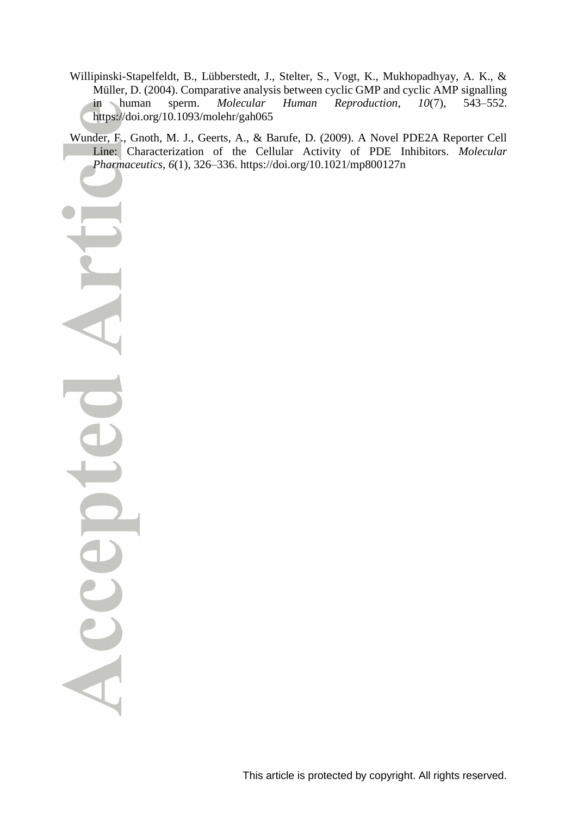- Willipinski-Stapelfeldt, B., Lübberstedt, J., Stelter, S., Vogt, K., Mukhopadhyay, A. K., & Müller, D. (2004). Comparative analysis between cyclic GMP and cyclic AMP signalling in human sperm. *Molecular Human Reproduction*, *10*(7), 543–552. https://doi.org/10.1093/molehr/gah065
- Wunder, F., Gnoth, M. J., Geerts, A., & Barufe, D. (2009). A Novel PDE2A Reporter Cell Line: Characterization of the Cellular Activity of PDE Inhibitors. *Molecular Pharmaceutics*, *6*(1), 326–336. https://doi.org/10.1021/mp800127n

Acce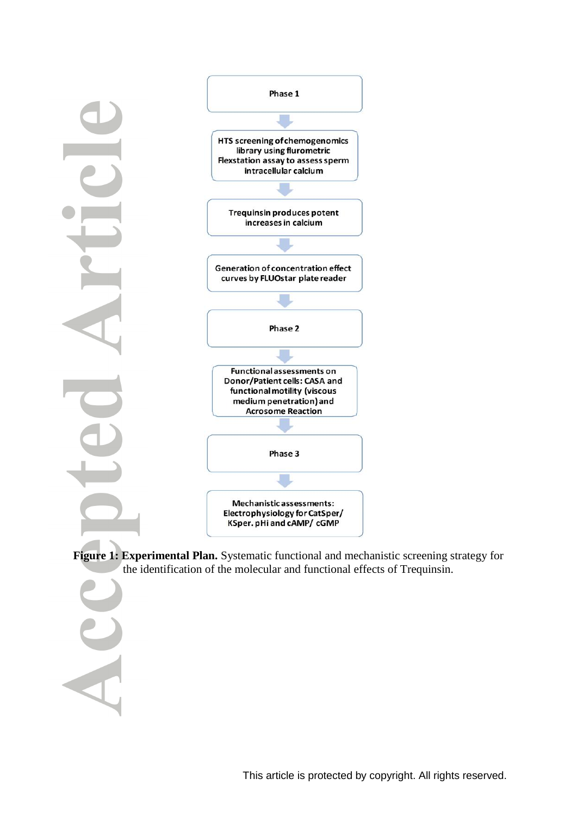

**Figure 1: Experimental Plan.** Systematic functional and mechanistic screening strategy for the identification of the molecular and functional effects of Trequinsin*.*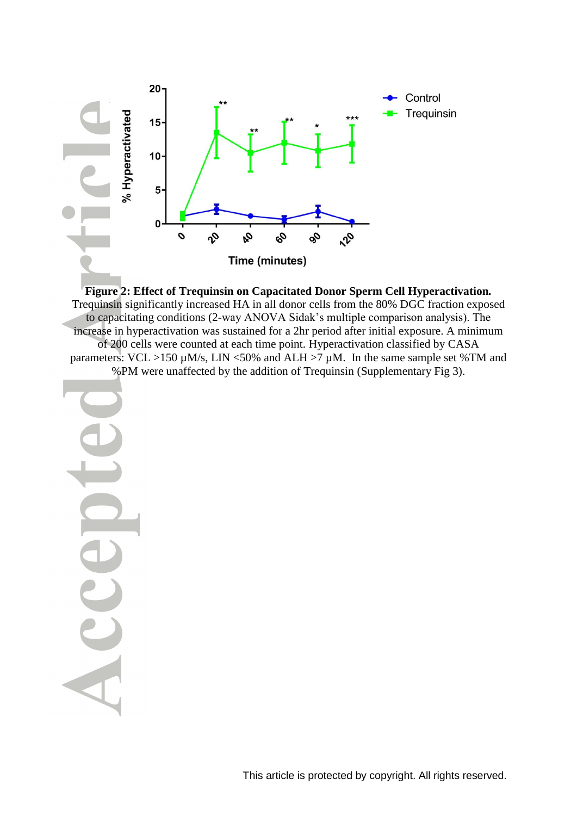

**Figure 2: Effect of Trequinsin on Capacitated Donor Sperm Cell Hyperactivation***.* Trequinsin significantly increased HA in all donor cells from the 80% DGC fraction exposed to capacitating conditions (2-way ANOVA Sidak's multiple comparison analysis). The increase in hyperactivation was sustained for a 2hr period after initial exposure. A minimum of 200 cells were counted at each time point. Hyperactivation classified by CASA parameters:  $VCL > 150 \mu M/s$ , LIN <50% and ALH >7  $\mu$ M. In the same sample set %TM and %PM were unaffected by the addition of Trequinsin (Supplementary Fig 3).

<span id="page-25-0"></span>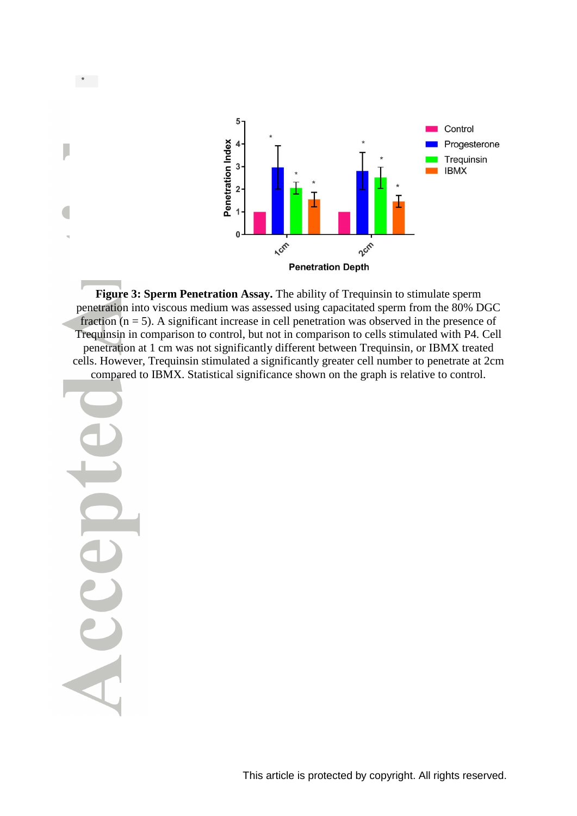

**Figure 3: [Sperm Penetration Assay.](file:///C:/Users/1007274/AppData/Local/Microsoft/Windows/Temporary%20Internet%20Files/Content.Outlook/GYSN6RM1/Paper%20update%20(06.11.2018).docx%23_Figure_3)** The ability of Trequinsin to stimulate sperm penetration into viscous medium was assessed using capacitated sperm from the 80% DGC fraction  $(n = 5)$ . A significant increase in cell penetration was observed in the presence of Trequinsin in comparison to control, but not in comparison to cells stimulated with P4. Cell penetration at 1 cm was not significantly different between Trequinsin, or IBMX treated cells. However, Trequinsin stimulated a significantly greater cell number to penetrate at 2cm compared to IBMX. Statistical significance shown on the graph is relative to control.

<span id="page-26-0"></span>

 $\star$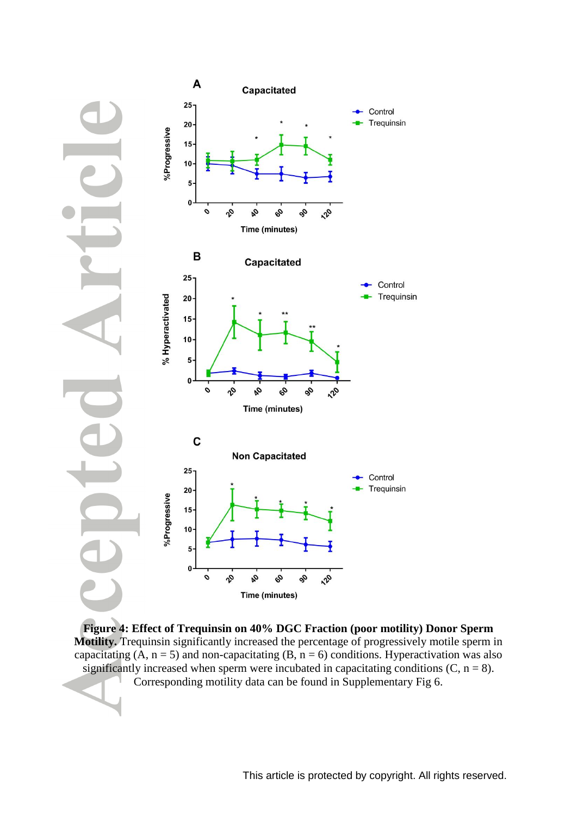

**Figure 4: Effect of Trequinsin on 40% DGC Fraction (poor motility) Donor Sperm Motility.** Trequinsin significantly increased the percentage of progressively motile sperm in capacitating (A,  $n = 5$ ) and non-capacitating (B,  $n = 6$ ) conditions. Hyperactivation was also significantly increased when sperm were incubated in capacitating conditions  $(C, n = 8)$ .

Corresponding motility data can be found in Supplementary Fig 6.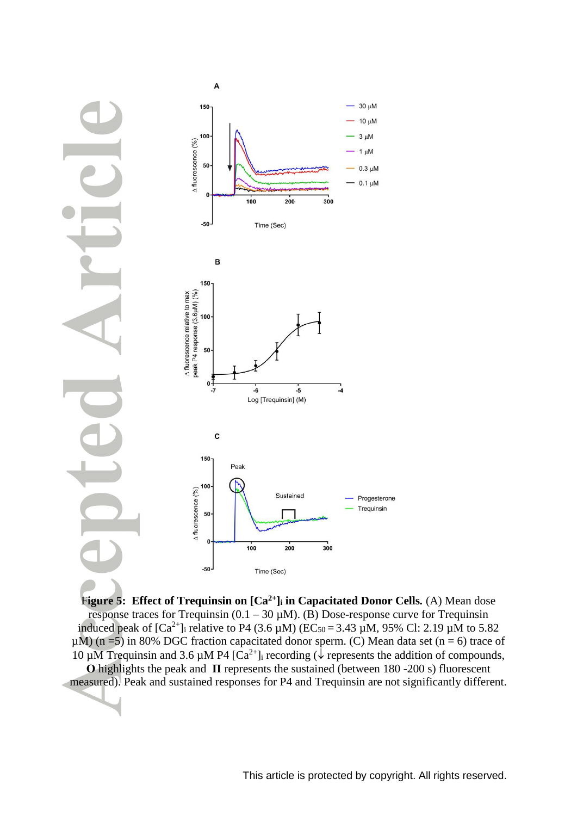



F**igure 5: Effect of Trequinsin on [Ca2+]<sup>i</sup> in Capacitated Donor Cells***.* (A) Mean dose response traces for Trequinsin  $(0.1 - 30 \mu M)$ . (B) Dose-response curve for Trequinsin induced peak of  $[Ca^{2+}]$  relative to P4 (3.6  $\mu$ M) (EC<sub>50</sub> = 3.43  $\mu$ M, 95% Cl: 2.19  $\mu$ M to 5.82  $\mu$ M) (n = 5) in 80% DGC fraction capacitated donor sperm. (C) Mean data set (n = 6) trace of 10  $\mu$ M Trequinsin and 3.6  $\mu$ M P4 [Ca<sup>2+</sup>]<sub>i</sub> recording ( $\sqrt{\mu}$  represents the addition of compounds, **Ο** highlights the peak and **П** represents the sustained (between 180 -200 s) fluorescent measured). Peak and sustained responses for P4 and Trequinsin are not significantly different.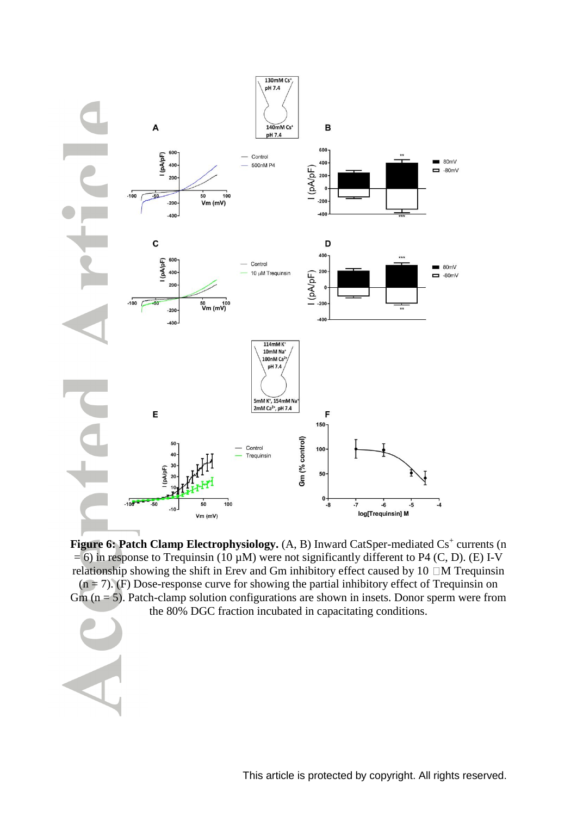

Figure 6: Patch Clamp Electrophysiology. (A, B) Inward CatSper-mediated Cs<sup>+</sup> currents (n  $= 6$ ) in response to Trequinsin (10  $\mu$ M) were not significantly different to P4 (C, D). (E) I-V relationship showing the shift in Erev and Gm inhibitory effect caused by  $10$   $\Box$ M Trequinsin  $(n = 7)$ . (F) Dose-response curve for showing the partial inhibitory effect of Trequinsin on  $Gm$  ( $n = 5$ ). Patch-clamp solution configurations are shown in insets. Donor sperm were from the 80% DGC fraction incubated in capacitating conditions.

This article is protected by copyright. All rights reserved.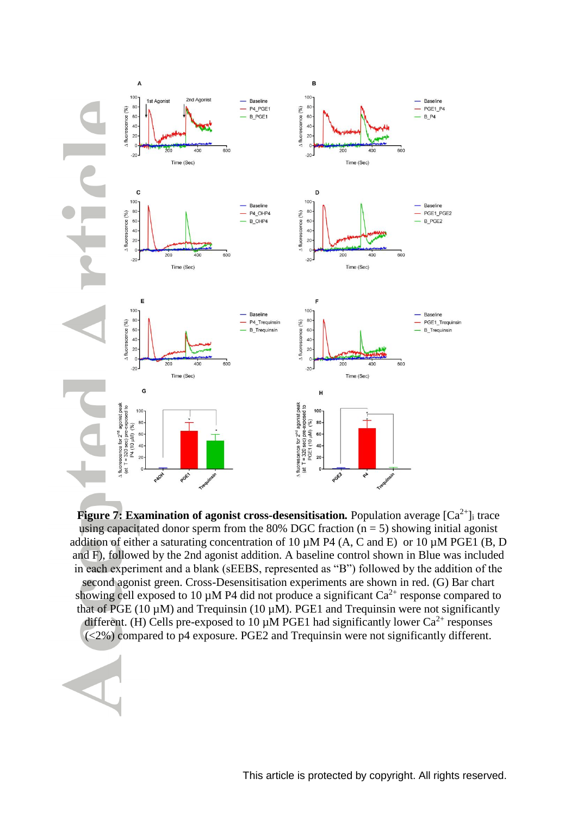

**Figure 7: Examination of agonist cross-desensitisation.** Population average  $[Ca^{2+}]\text{i}$  trace using capacitated donor sperm from the 80% DGC fraction ( $n = 5$ ) showing initial agonist addition of either a saturating concentration of 10  $\mu$ M P4 (A, C and E) or 10  $\mu$ M PGE1 (B, D and F), followed by the 2nd agonist addition. A baseline control shown in Blue was included in each experiment and a blank (sEEBS, represented as "B") followed by the addition of the second agonist green. Cross-Desensitisation experiments are shown in red. (G) Bar chart showing cell exposed to 10  $\mu$ M P4 did not produce a significant Ca<sup>2+</sup> response compared to that of PGE (10  $\mu$ M) and Trequinsin (10  $\mu$ M). PGE1 and Trequinsin were not significantly different. (H) Cells pre-exposed to 10  $\mu$ M PGE1 had significantly lower Ca<sup>2+</sup> responses (<2%) compared to p4 exposure. PGE2 and Trequinsin were not significantly different.

This article is protected by copyright. All rights reserved.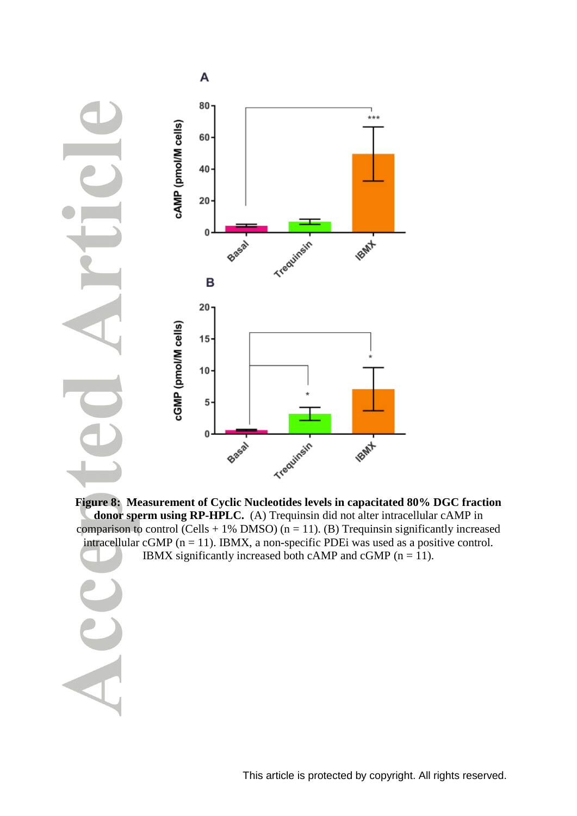

**Figure 8: Measurement of Cyclic [Nucleotides levels in capacitated 80% DGC fraction](file:///C:/Users/1007274/AppData/Local/Microsoft/Windows/Temporary%20Internet%20Files/Content.Outlook/GYSN6RM1/Paper%20update%20(06.11.2018).docx%23_Figure_8)  [donor sperm using RP-HPLC.](file:///C:/Users/1007274/AppData/Local/Microsoft/Windows/Temporary%20Internet%20Files/Content.Outlook/GYSN6RM1/Paper%20update%20(06.11.2018).docx%23_Figure_8)** (A) Trequinsin did not alter intracellular cAMP in comparison to control (Cells  $+ 1\%$  DMSO) (n = 11). (B) Trequinsin significantly increased intracellular cGMP ( $n = 11$ ). IBMX, a non-specific PDE was used as a positive control. IBMX significantly increased both cAMP and cGMP ( $n = 11$ ).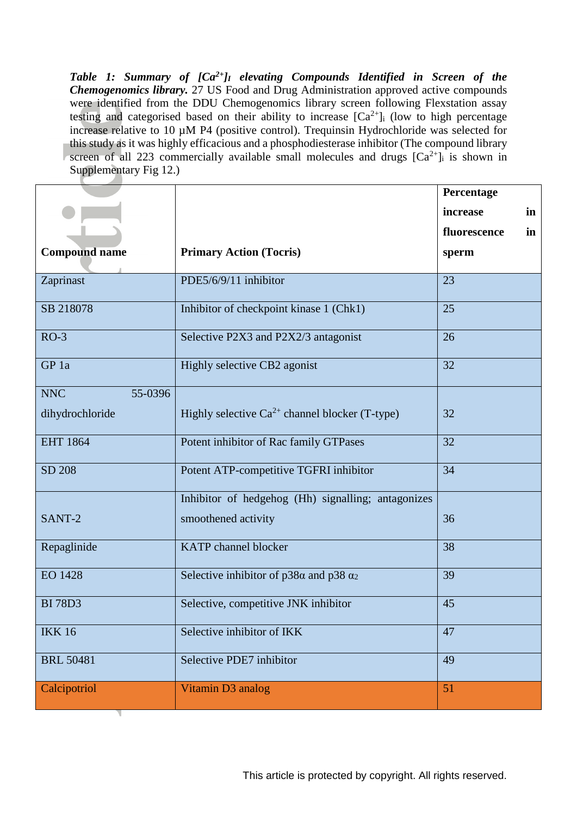*Table 1: Summary of [Ca2+]<sup>I</sup> elevating Compounds Identified in Screen of the Chemogenomics library.* 27 US Food and Drug Administration approved active compounds were identified from the DDU Chemogenomics library screen following Flexstation assay testing and categorised based on their ability to increase  $[Ca^{2+}]$  (low to high percentage increase relative to 10 µM P4 (positive control). Trequinsin Hydrochloride was selected for this study as it was highly efficacious and a phosphodiesterase inhibitor (The compound library screen of all 223 commercially available small molecules and drugs  $[Ca^{2+}]$  is shown in Supplementary Fig 12.)

|                       |                                                      | Percentage         |  |  |
|-----------------------|------------------------------------------------------|--------------------|--|--|
|                       |                                                      | increase<br>in     |  |  |
|                       |                                                      | fluorescence<br>in |  |  |
| <b>Compound name</b>  | <b>Primary Action (Tocris)</b>                       | sperm              |  |  |
|                       |                                                      |                    |  |  |
| Zaprinast             | PDE5/6/9/11 inhibitor                                | 23                 |  |  |
| SB 218078             | Inhibitor of checkpoint kinase 1 (Chk1)              | 25                 |  |  |
| $RO-3$                | Selective P2X3 and P2X2/3 antagonist                 | 26                 |  |  |
| GP 1a                 | Highly selective CB2 agonist                         | 32                 |  |  |
| <b>NNC</b><br>55-0396 |                                                      |                    |  |  |
| dihydrochloride       | Highly selective $Ca^{2+}$ channel blocker (T-type)  | 32                 |  |  |
| <b>EHT 1864</b>       | Potent inhibitor of Rac family GTPases               | 32                 |  |  |
| SD 208                | Potent ATP-competitive TGFRI inhibitor               | 34                 |  |  |
|                       | Inhibitor of hedgehog (Hh) signalling; antagonizes   |                    |  |  |
| SANT-2                | smoothened activity                                  | 36                 |  |  |
| Repaglinide           | <b>KATP</b> channel blocker                          | 38                 |  |  |
| <b>EO 1428</b>        | Selective inhibitor of $p38\alpha$ and $p38\alpha_2$ | 39                 |  |  |
| <b>BI</b> 78D3        | Selective, competitive JNK inhibitor                 | 45                 |  |  |
| <b>IKK16</b>          | Selective inhibitor of IKK                           | 47                 |  |  |
| <b>BRL 50481</b>      | Selective PDE7 inhibitor                             | 49                 |  |  |
| Calcipotriol          | Vitamin D3 analog                                    | 51                 |  |  |
|                       |                                                      |                    |  |  |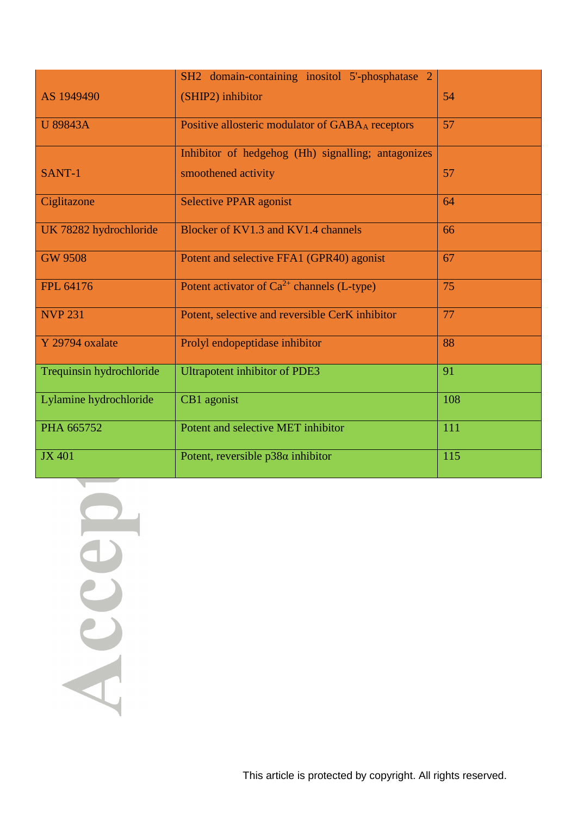|                          | SH2 domain-containing inositol 5'-phosphatase 2    |     |
|--------------------------|----------------------------------------------------|-----|
| AS 1949490               | (SHIP2) inhibitor                                  | 54  |
| <b>U</b> 89843A          | Positive allosteric modulator of GABAA receptors   | 57  |
|                          | Inhibitor of hedgehog (Hh) signalling; antagonizes |     |
| SANT-1                   | smoothened activity                                | 57  |
| Ciglitazone              | <b>Selective PPAR agonist</b>                      | 64  |
| UK 78282 hydrochloride   | Blocker of KV1.3 and KV1.4 channels                | 66  |
| <b>GW 9508</b>           | Potent and selective FFA1 (GPR40) agonist          | 67  |
| FPL 64176                | Potent activator of $Ca^{2+}$ channels (L-type)    | 75  |
| <b>NVP 231</b>           | Potent, selective and reversible CerK inhibitor    | 77  |
| Y 29794 oxalate          | Prolyl endopeptidase inhibitor                     | 88  |
| Trequinsin hydrochloride | <b>Ultrapotent inhibitor of PDE3</b>               | 91  |
| Lylamine hydrochloride   | CB1 agonist                                        | 108 |
| PHA 665752               | Potent and selective MET inhibitor                 | 111 |
| <b>JX 401</b>            | Potent, reversible $p38\alpha$ inhibitor           | 115 |

Accept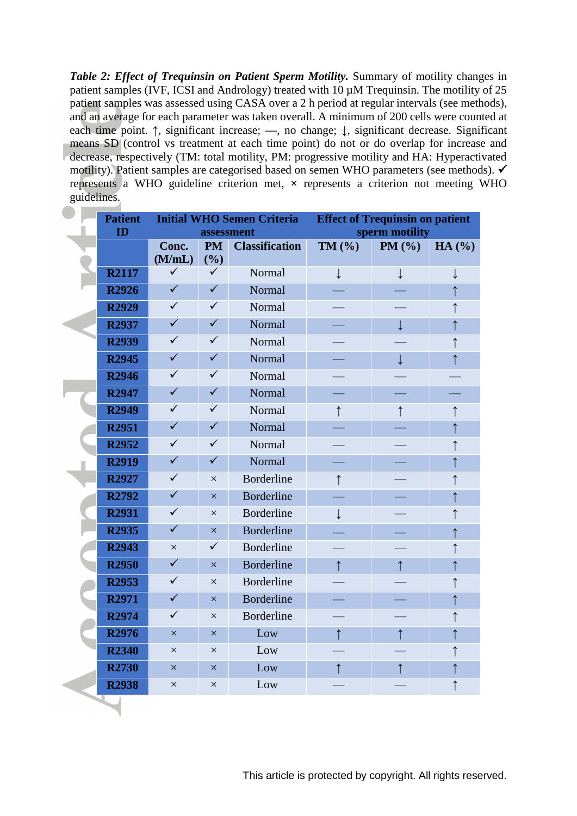*Table 2: Effect of Trequinsin on Patient Sperm Motility.* Summary of motility changes in patient samples (IVF, ICSI and Andrology) treated with 10  $\mu$ M Trequinsin. The motility of 25 patient samples was assessed using CASA over a 2 h period at regular intervals (see methods), and an average for each parameter was taken overall. A minimum of 200 cells were counted at each time point. **↑**, significant increase; **—**, no change; **↓**, significant decrease. Significant means SD (control vs treatment at each time point) do not or do overlap for increase and decrease, respectively (TM: total motility, PM: progressive motility and HA: Hyperactivated motility). Patient samples are categorised based on semen WHO parameters (see methods). represents a WHO guideline criterion met, **×** represents a criterion not meeting WHO guidelines.

<span id="page-34-0"></span>

| <b>Patient</b>    | <b>Initial WHO Semen Criteria</b> |              | <b>Effect of Trequinsin on patient</b> |                             |              |            |
|-------------------|-----------------------------------|--------------|----------------------------------------|-----------------------------|--------------|------------|
| ID                | assessment                        |              | sperm motility                         |                             |              |            |
|                   | Conc.                             | <b>PM</b>    | <b>Classification</b>                  | TM (%)                      | PM (%)       | HA(%)      |
|                   | (M/mL)                            | (%)          |                                        |                             |              |            |
| <b>R2117</b>      | $\checkmark$                      | ✓            | Normal                                 | $\downarrow$                | $\downarrow$ | ↓          |
| <b>R2926</b>      | $\checkmark$                      | $\checkmark$ | Normal                                 |                             |              | ↑          |
| <b>R2929</b>      | $\checkmark$                      | $\checkmark$ | Normal                                 |                             |              |            |
| R2937             | ✓                                 | $\checkmark$ | Normal                                 |                             | $\downarrow$ |            |
| <b>R2939</b>      | $\checkmark$                      | $\checkmark$ | Normal                                 |                             |              |            |
| R <sub>2945</sub> | $\checkmark$                      | $\checkmark$ | Normal                                 | œ                           | $\downarrow$ |            |
| <b>R2946</b>      | $\checkmark$                      | $\checkmark$ | Normal                                 | $\mathcal{L}_{\mathcal{A}}$ |              |            |
| R <sub>2947</sub> | $\checkmark$                      | $\checkmark$ | Normal                                 | $\equiv$                    |              |            |
| <b>R2949</b>      | $\checkmark$                      | $\checkmark$ | Normal                                 | $\uparrow$                  | $\uparrow$   | $\uparrow$ |
| <b>R2951</b>      | $\checkmark$                      | $\checkmark$ | Normal                                 |                             |              | ↑          |
| R <sub>2952</sub> | $\checkmark$                      | $\checkmark$ | Normal                                 |                             |              |            |
| <b>R2919</b>      | ✓                                 | $\checkmark$ | Normal                                 | <b>Service Service</b>      |              |            |
| R2927             | ✓                                 | $\times$     | <b>Borderline</b>                      | $\uparrow$                  |              |            |
| R2792             | $\checkmark$                      | $\times$     | <b>Borderline</b>                      | $\Box$                      |              |            |
| <b>R2931</b>      | ✓                                 | $\times$     | <b>Borderline</b>                      | $\downarrow$                |              |            |
| R <sub>2935</sub> | $\checkmark$                      | $\times$     | <b>Borderline</b>                      |                             |              |            |
| R <sub>2943</sub> | $\times$                          | $\checkmark$ | <b>Borderline</b>                      |                             |              |            |
| <b>R2950</b>      | $\checkmark$                      | $\times$     | <b>Borderline</b>                      | $\uparrow$                  | $\uparrow$   |            |
| R <sub>2953</sub> | $\checkmark$                      | $\times$     | <b>Borderline</b>                      |                             |              |            |
| R <sub>2971</sub> | $\checkmark$                      | $\times$     | <b>Borderline</b>                      |                             |              |            |
| R2974             | $\checkmark$                      | $\times$     | <b>Borderline</b>                      |                             |              |            |
| <b>R2976</b>      | $\times$                          | $\times$     | Low                                    | $\uparrow$                  | $\uparrow$   |            |
| <b>R2340</b>      | $\times$                          | $\times$     | Low                                    |                             |              |            |
| <b>R2730</b>      | $\times$                          | $\times$     | Low                                    | ↑                           | ↑            |            |
| <b>R2938</b>      | $\times$                          | $\times$     | Low                                    |                             |              |            |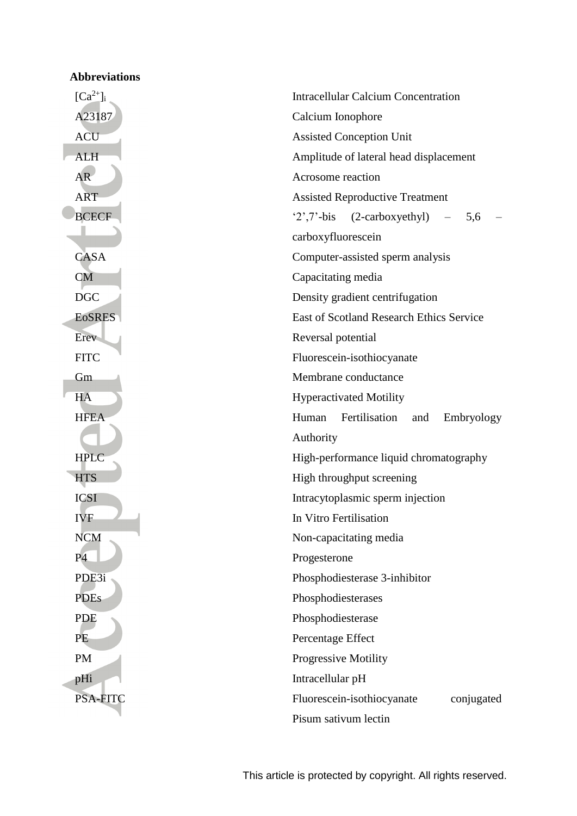| <b>Abbreviations</b> |                                                     |  |  |
|----------------------|-----------------------------------------------------|--|--|
| $[Ca^{2+}]_i$        | <b>Intracellular Calcium Concentration</b>          |  |  |
| A23187               | Calcium Ionophore                                   |  |  |
| <b>ACU</b>           | <b>Assisted Conception Unit</b>                     |  |  |
| <b>ALH</b>           | Amplitude of lateral head displacement              |  |  |
| AR                   | Acrosome reaction                                   |  |  |
| <b>ART</b>           | <b>Assisted Reproductive Treatment</b>              |  |  |
| <b>BCECF</b>         | $2^7$ , $7^{\circ}$ -bis<br>(2-carboxyethyl)<br>5,6 |  |  |
|                      | carboxyfluorescein                                  |  |  |
| CASA                 | Computer-assisted sperm analysis                    |  |  |
| <b>CM</b>            | Capacitating media                                  |  |  |
| <b>DGC</b>           | Density gradient centrifugation                     |  |  |
| <b>E</b> oSRES       | East of Scotland Research Ethics Service            |  |  |
| Erev                 | Reversal potential                                  |  |  |
| <b>FITC</b>          | Fluorescein-isothiocyanate                          |  |  |
| Gm                   | Membrane conductance                                |  |  |
| HA                   | <b>Hyperactivated Motility</b>                      |  |  |
| <b>HFEA</b>          | Fertilisation<br>Human<br>Embryology<br>and         |  |  |
|                      | Authority                                           |  |  |
| <b>HPLC</b>          | High-performance liquid chromatography              |  |  |
| <b>HTS</b>           | High throughput screening                           |  |  |
| <b>ICSI</b>          | Intracytoplasmic sperm injection                    |  |  |
| <b>IVF</b>           | In Vitro Fertilisation                              |  |  |
| <b>NCM</b>           | Non-capacitating media                              |  |  |
| <b>P4</b>            | Progesterone                                        |  |  |
| PDE3i                | Phosphodiesterase 3-inhibitor                       |  |  |
| <b>PDEs</b>          | Phosphodiesterases                                  |  |  |
| PDE                  | Phosphodiesterase                                   |  |  |
| PE                   | Percentage Effect                                   |  |  |
| <b>PM</b>            | Progressive Motility                                |  |  |
| pHi                  | Intracellular pH                                    |  |  |
| PSA-FITC             | Fluorescein-isothiocyanate<br>conjugated            |  |  |
|                      | Pisum sativum lectin                                |  |  |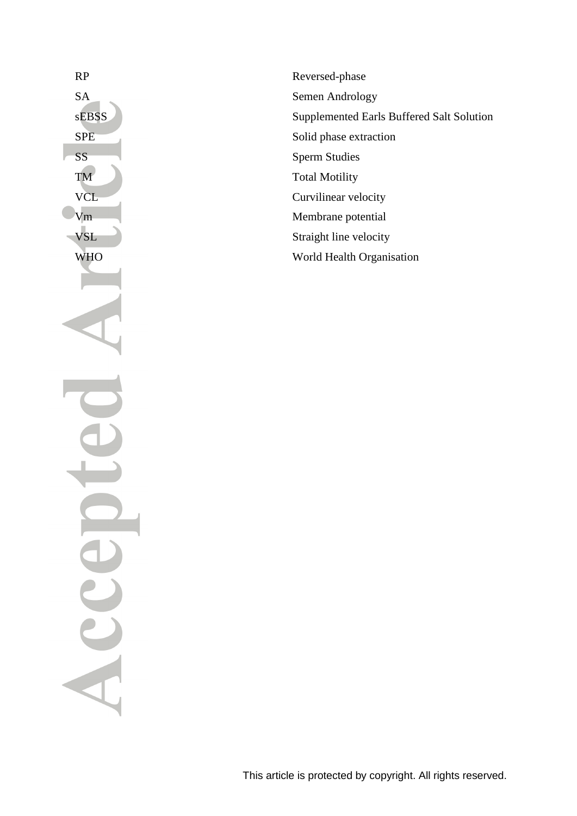RP Reversed-phase SA Semen Andrology sEBSS Supplemented Earls Buffered Salt Solution SPE Solid phase extraction VCL Curvilinear velocity Vm Membrane potential VSL Straight line velocity WHO World Health Organisation

# SS Sperm Studies TM Total Motility Sccep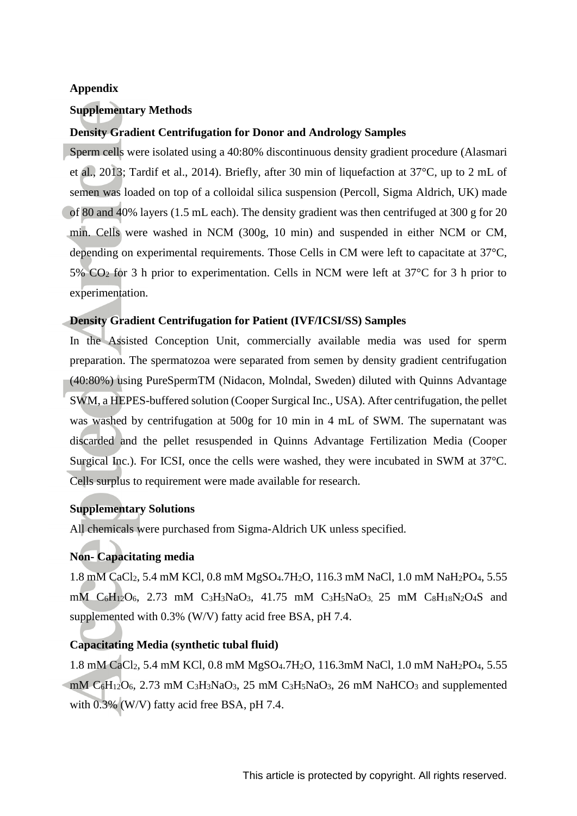# **Appendix**

# **Supplementary Methods**

# **Density Gradient Centrifugation for Donor and Andrology Samples**

Sperm cells were isolated using a 40:80% discontinuous density gradient procedure (Alasmari et al., 2013; Tardif et al., 2014). Briefly, after 30 min of liquefaction at 37°C, up to 2 mL of semen was loaded on top of a colloidal silica suspension (Percoll, Sigma Aldrich, UK) made of 80 and 40% layers (1.5 mL each). The density gradient was then centrifuged at 300 g for 20 min. Cells were washed in NCM (300g, 10 min) and suspended in either NCM or CM, depending on experimental requirements. Those Cells in CM were left to capacitate at 37°C, 5%  $CO<sub>2</sub>$  for 3 h prior to experimentation. Cells in NCM were left at 37°C for 3 h prior to experimentation.

# **Density Gradient Centrifugation for Patient (IVF/ICSI/SS) Samples**

In the Assisted Conception Unit, commercially available media was used for sperm preparation. The spermatozoa were separated from semen by density gradient centrifugation (40:80%) using PureSpermTM (Nidacon, Molndal, Sweden) diluted with Quinns Advantage SWM, a HEPES-buffered solution (Cooper Surgical Inc., USA). After centrifugation, the pellet was washed by centrifugation at 500g for 10 min in 4 mL of SWM. The supernatant was discarded and the pellet resuspended in Quinns Advantage Fertilization Media (Cooper Surgical Inc.). For ICSI, once the cells were washed, they were incubated in SWM at 37°C. Cells surplus to requirement were made available for research.

# **Supplementary Solutions**

All chemicals were purchased from Sigma-Aldrich UK unless specified.

# **Non- Capacitating media**

1.8 mM CaCl2, 5.4 mM KCl, 0.8 mM MgSO4.7H2O, 116.3 mM NaCl, 1.0 mM NaH2PO4, 5.55 mM  $C_6H_{12}O_6$ , 2.73 mM  $C_3H_3NaO_3$ , 41.75 mM  $C_3H_5NaO_3$ , 25 mM  $C_8H_{18}N_2O_4S$  and supplemented with 0.3% (W/V) fatty acid free BSA, pH 7.4.

# **Capacitating Media (synthetic tubal fluid)**

1.8 mM CaCl<sub>2</sub>, 5.4 mM KCl, 0.8 mM MgSO<sub>4</sub>.7H<sub>2</sub>O, 116.3mM NaCl, 1.0 mM NaH<sub>2</sub>PO<sub>4</sub>, 5.55 mM  $C_6H_{12}O_6$ , 2.73 mM  $C_3H_3NaO_3$ , 25 mM  $C_3H_5NaO_3$ , 26 mM NaHCO<sub>3</sub> and supplemented with  $0.3\%$  (W/V) fatty acid free BSA, pH 7.4.